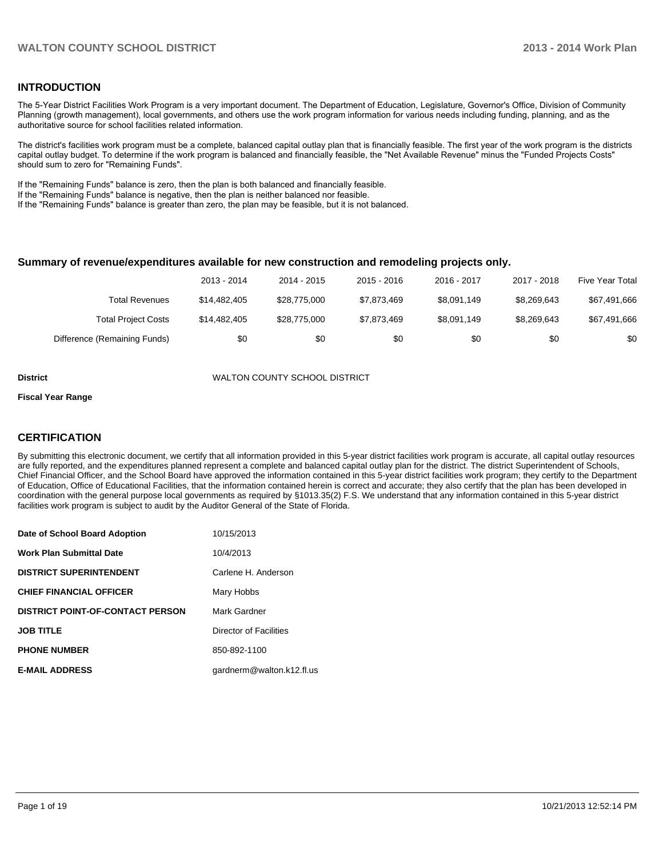### **INTRODUCTION**

The 5-Year District Facilities Work Program is a very important document. The Department of Education, Legislature, Governor's Office, Division of Community Planning (growth management), local governments, and others use the work program information for various needs including funding, planning, and as the authoritative source for school facilities related information.

The district's facilities work program must be a complete, balanced capital outlay plan that is financially feasible. The first year of the work program is the districts capital outlay budget. To determine if the work program is balanced and financially feasible, the "Net Available Revenue" minus the "Funded Projects Costs" should sum to zero for "Remaining Funds".

If the "Remaining Funds" balance is zero, then the plan is both balanced and financially feasible.

If the "Remaining Funds" balance is negative, then the plan is neither balanced nor feasible.

If the "Remaining Funds" balance is greater than zero, the plan may be feasible, but it is not balanced.

#### **Summary of revenue/expenditures available for new construction and remodeling projects only.**

|                              | 2013 - 2014  | 2014 - 2015  | 2015 - 2016 | 2016 - 2017 | 2017 - 2018 | <b>Five Year Total</b> |
|------------------------------|--------------|--------------|-------------|-------------|-------------|------------------------|
| Total Revenues               | \$14.482,405 | \$28.775.000 | \$7.873.469 | \$8.091.149 | \$8.269.643 | \$67,491,666           |
| <b>Total Project Costs</b>   | \$14,482,405 | \$28.775.000 | \$7.873.469 | \$8,091,149 | \$8.269.643 | \$67,491,666           |
| Difference (Remaining Funds) | \$0          | \$0          | \$0         | \$0         | \$0         | \$0                    |

**District** WALTON COUNTY SCHOOL DISTRICT

#### **Fiscal Year Range**

### **CERTIFICATION**

By submitting this electronic document, we certify that all information provided in this 5-year district facilities work program is accurate, all capital outlay resources are fully reported, and the expenditures planned represent a complete and balanced capital outlay plan for the district. The district Superintendent of Schools, Chief Financial Officer, and the School Board have approved the information contained in this 5-year district facilities work program; they certify to the Department of Education, Office of Educational Facilities, that the information contained herein is correct and accurate; they also certify that the plan has been developed in coordination with the general purpose local governments as required by §1013.35(2) F.S. We understand that any information contained in this 5-year district facilities work program is subject to audit by the Auditor General of the State of Florida.

| Date of School Board Adoption           | 10/15/2013                |
|-----------------------------------------|---------------------------|
| <b>Work Plan Submittal Date</b>         | 10/4/2013                 |
| <b>DISTRICT SUPERINTENDENT</b>          | Carlene H. Anderson       |
| <b>CHIEF FINANCIAL OFFICER</b>          | Mary Hobbs                |
| <b>DISTRICT POINT-OF-CONTACT PERSON</b> | Mark Gardner              |
| <b>JOB TITLE</b>                        | Director of Facilities    |
| <b>PHONE NUMBER</b>                     | 850-892-1100              |
| <b>E-MAIL ADDRESS</b>                   | gardnerm@walton.k12.fl.us |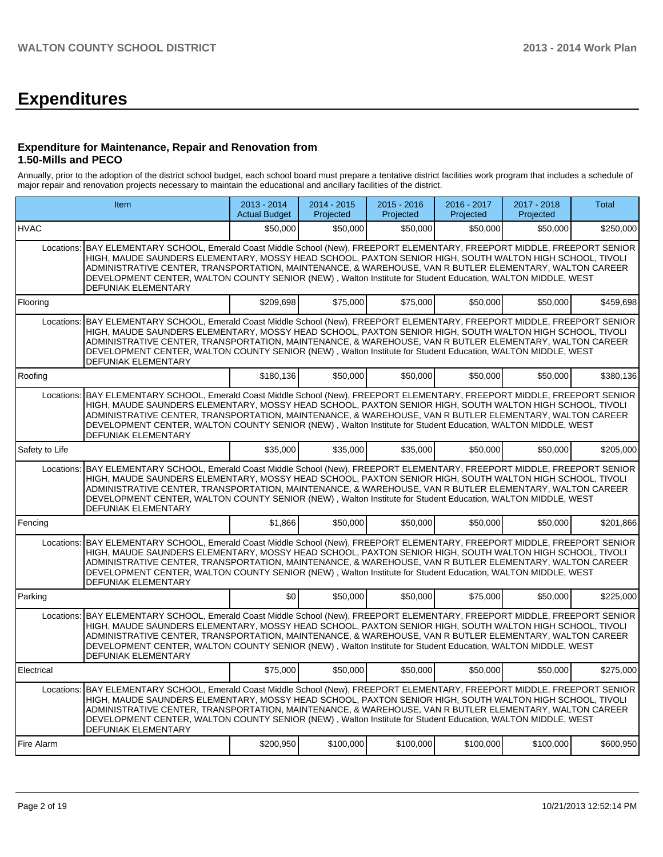# **Expenditures**

### **Expenditure for Maintenance, Repair and Renovation from 1.50-Mills and PECO**

Annually, prior to the adoption of the district school budget, each school board must prepare a tentative district facilities work program that includes a schedule of major repair and renovation projects necessary to maintain the educational and ancillary facilities of the district.

|                | Item                                                                                                                                                                                                                                                                                                                                                                                                                                                                                           | 2013 - 2014<br><b>Actual Budget</b> | 2014 - 2015<br>Projected | $2015 - 2016$<br>Projected | 2016 - 2017<br>Projected | $2017 - 2018$<br>Projected | <b>Total</b> |
|----------------|------------------------------------------------------------------------------------------------------------------------------------------------------------------------------------------------------------------------------------------------------------------------------------------------------------------------------------------------------------------------------------------------------------------------------------------------------------------------------------------------|-------------------------------------|--------------------------|----------------------------|--------------------------|----------------------------|--------------|
| <b>HVAC</b>    |                                                                                                                                                                                                                                                                                                                                                                                                                                                                                                | \$50,000                            | \$50,000                 | \$50,000                   | \$50,000                 | \$50,000                   | \$250,000    |
| Locations:     | BAY ELEMENTARY SCHOOL, Emerald Coast Middle School (New), FREEPORT ELEMENTARY, FREEPORT MIDDLE, FREEPORT SENIOR<br>HIGH, MAUDE SAUNDERS ELEMENTARY, MOSSY HEAD SCHOOL, PAXTON SENIOR HIGH, SOUTH WALTON HIGH SCHOOL, TIVOLI<br>ADMINISTRATIVE CENTER, TRANSPORTATION, MAINTENANCE, & WAREHOUSE, VAN R BUTLER ELEMENTARY, WALTON CAREER<br>DEVELOPMENT CENTER, WALTON COUNTY SENIOR (NEW), Walton Institute for Student Education, WALTON MIDDLE, WEST<br><b>DEFUNIAK ELEMENTARY</b>            |                                     |                          |                            |                          |                            |              |
| Flooring       |                                                                                                                                                                                                                                                                                                                                                                                                                                                                                                | \$209.698                           | \$75,000                 | \$75,000                   | \$50,000                 | \$50,000                   | \$459,698    |
|                | Locations: BAY ELEMENTARY SCHOOL, Emerald Coast Middle School (New), FREEPORT ELEMENTARY, FREEPORT MIDDLE, FREEPORT SENIOR<br>HIGH. MAUDE SAUNDERS ELEMENTARY. MOSSY HEAD SCHOOL. PAXTON SENIOR HIGH. SOUTH WALTON HIGH SCHOOL. TIVOLI<br>ADMINISTRATIVE CENTER, TRANSPORTATION, MAINTENANCE, & WAREHOUSE, VAN R BUTLER ELEMENTARY, WALTON CAREER<br>DEVELOPMENT CENTER, WALTON COUNTY SENIOR (NEW), Walton Institute for Student Education, WALTON MIDDLE, WEST<br>DEFUNIAK ELEMENTARY        |                                     |                          |                            |                          |                            |              |
| Roofing        |                                                                                                                                                                                                                                                                                                                                                                                                                                                                                                | \$180,136                           | \$50,000                 | \$50,000                   | \$50,000                 | \$50,000                   | \$380,136    |
| Locations:     | BAY ELEMENTARY SCHOOL, Emerald Coast Middle School (New), FREEPORT ELEMENTARY, FREEPORT MIDDLE, FREEPORT SENIOR<br>HIGH, MAUDE SAUNDERS ELEMENTARY, MOSSY HEAD SCHOOL, PAXTON SENIOR HIGH, SOUTH WALTON HIGH SCHOOL, TIVOLI<br>ADMINISTRATIVE CENTER, TRANSPORTATION, MAINTENANCE, & WAREHOUSE, VAN R BUTLER ELEMENTARY, WALTON CAREER<br>DEVELOPMENT CENTER, WALTON COUNTY SENIOR (NEW), Walton Institute for Student Education, WALTON MIDDLE, WEST<br>DEFUNIAK ELEMENTARY                   |                                     |                          |                            |                          |                            |              |
| Safety to Life |                                                                                                                                                                                                                                                                                                                                                                                                                                                                                                | \$35,000                            | \$35,000                 | \$35,000                   | \$50,000                 | \$50,000                   | \$205,000    |
| Locations:     | BAY ELEMENTARY SCHOOL, Emerald Coast Middle School (New), FREEPORT ELEMENTARY, FREEPORT MIDDLE, FREEPORT SENIOR<br>HIGH, MAUDE SAUNDERS ELEMENTARY, MOSSY HEAD SCHOOL, PAXTON SENIOR HIGH, SOUTH WALTON HIGH SCHOOL, TIVOLI<br>ADMINISTRATIVE CENTER, TRANSPORTATION, MAINTENANCE, & WAREHOUSE, VAN R BUTLER ELEMENTARY, WALTON CAREER<br>DEVELOPMENT CENTER, WALTON COUNTY SENIOR (NEW), Walton Institute for Student Education, WALTON MIDDLE, WEST<br>DEFUNIAK ELEMENTARY                   |                                     |                          |                            |                          |                            |              |
| Fencing        |                                                                                                                                                                                                                                                                                                                                                                                                                                                                                                | \$1.866                             | \$50,000                 | \$50,000                   | \$50,000                 | \$50.000                   | \$201,866    |
|                | Locations: BAY ELEMENTARY SCHOOL, Emerald Coast Middle School (New), FREEPORT ELEMENTARY, FREEPORT MIDDLE, FREEPORT SENIOR<br>HIGH. MAUDE SAUNDERS ELEMENTARY. MOSSY HEAD SCHOOL. PAXTON SENIOR HIGH. SOUTH WALTON HIGH SCHOOL. TIVOLI<br>ADMINISTRATIVE CENTER, TRANSPORTATION, MAINTENANCE, & WAREHOUSE, VAN R BUTLER ELEMENTARY, WALTON CAREER<br>DEVELOPMENT CENTER, WALTON COUNTY SENIOR (NEW), Walton Institute for Student Education, WALTON MIDDLE, WEST<br><b>DEFUNIAK ELEMENTARY</b> |                                     |                          |                            |                          |                            |              |
| Parking        |                                                                                                                                                                                                                                                                                                                                                                                                                                                                                                | $\Omega$                            | \$50,000                 | \$50,000                   | \$75,000                 | \$50,000                   | \$225,000    |
|                | Locations: BAY ELEMENTARY SCHOOL. Emerald Coast Middle School (New). FREEPORT ELEMENTARY. FREEPORT MIDDLE. FREEPORT SENIOR<br>HIGH, MAUDE SAUNDERS ELEMENTARY, MOSSY HEAD SCHOOL, PAXTON SENIOR HIGH, SOUTH WALTON HIGH SCHOOL, TIVOLI<br>ADMINISTRATIVE CENTER, TRANSPORTATION, MAINTENANCE, & WAREHOUSE, VAN R BUTLER ELEMENTARY, WALTON CAREER<br>DEVELOPMENT CENTER, WALTON COUNTY SENIOR (NEW), Walton Institute for Student Education, WALTON MIDDLE, WEST<br>DEFUNIAK ELEMENTARY        |                                     |                          |                            |                          |                            |              |
| Electrical     |                                                                                                                                                                                                                                                                                                                                                                                                                                                                                                | \$75,000                            | \$50,000                 | \$50,000                   | \$50,000                 | \$50,000                   | \$275,000    |
|                | Locations: BAY ELEMENTARY SCHOOL, Emerald Coast Middle School (New), FREEPORT ELEMENTARY, FREEPORT MIDDLE, FREEPORT SENIOR<br>HIGH. MAUDE SAUNDERS ELEMENTARY. MOSSY HEAD SCHOOL. PAXTON SENIOR HIGH. SOUTH WALTON HIGH SCHOOL. TIVOLI<br>ADMINISTRATIVE CENTER, TRANSPORTATION, MAINTENANCE, & WAREHOUSE, VAN R BUTLER ELEMENTARY, WALTON CAREER<br>DEVELOPMENT CENTER, WALTON COUNTY SENIOR (NEW), Walton Institute for Student Education, WALTON MIDDLE, WEST<br><b>DEFUNIAK ELEMENTARY</b> |                                     |                          |                            |                          |                            |              |
| Fire Alarm     |                                                                                                                                                                                                                                                                                                                                                                                                                                                                                                | \$200,950                           | \$100,000                | \$100,000                  | \$100,000                | \$100,000                  | \$600,950    |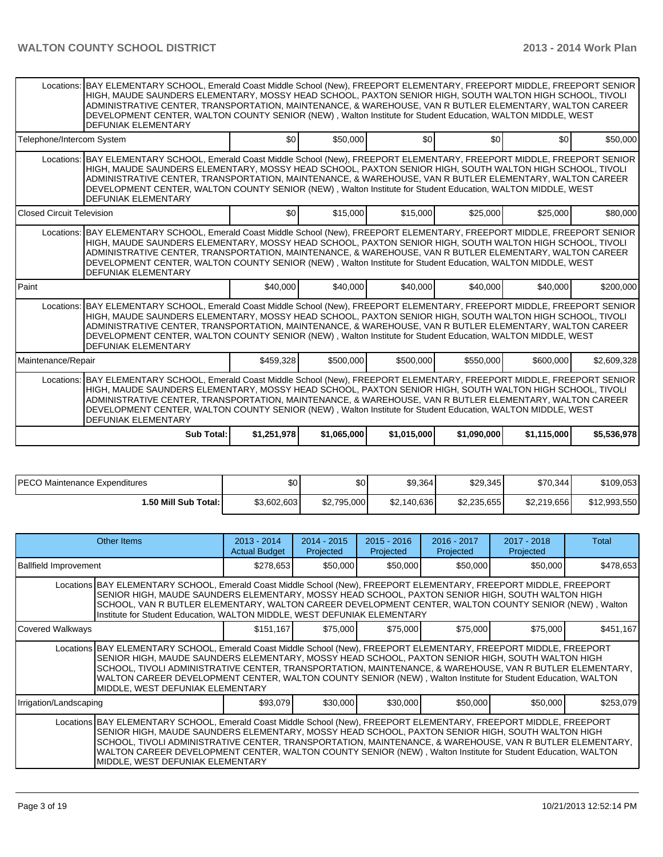|                                  | Locations: BAY ELEMENTARY SCHOOL, Emerald Coast Middle School (New), FREEPORT ELEMENTARY, FREEPORT MIDDLE, FREEPORT SENIOR<br>HIGH, MAUDE SAUNDERS ELEMENTARY, MOSSY HEAD SCHOOL, PAXTON SENIOR HIGH, SOUTH WALTON HIGH SCHOOL, TIVOLI<br>ADMINISTRATIVE CENTER, TRANSPORTATION, MAINTENANCE, & WAREHOUSE, VAN R BUTLER ELEMENTARY, WALTON CAREER<br>DEVELOPMENT CENTER, WALTON COUNTY SENIOR (NEW), Walton Institute for Student Education, WALTON MIDDLE, WEST<br><b>DEFUNIAK ELEMENTARY</b> |             |             |             |             |             |             |  |  |  |  |  |
|----------------------------------|------------------------------------------------------------------------------------------------------------------------------------------------------------------------------------------------------------------------------------------------------------------------------------------------------------------------------------------------------------------------------------------------------------------------------------------------------------------------------------------------|-------------|-------------|-------------|-------------|-------------|-------------|--|--|--|--|--|
| Telephone/Intercom System        |                                                                                                                                                                                                                                                                                                                                                                                                                                                                                                | \$0         | \$50,000    | \$0         | \$0         | \$0         | \$50,000    |  |  |  |  |  |
|                                  | Locations: BAY ELEMENTARY SCHOOL, Emerald Coast Middle School (New), FREEPORT ELEMENTARY, FREEPORT MIDDLE, FREEPORT SENIOR<br>HIGH, MAUDE SAUNDERS ELEMENTARY, MOSSY HEAD SCHOOL, PAXTON SENIOR HIGH, SOUTH WALTON HIGH SCHOOL, TIVOLI<br>ADMINISTRATIVE CENTER, TRANSPORTATION, MAINTENANCE, & WAREHOUSE, VAN R BUTLER ELEMENTARY, WALTON CAREER<br>DEVELOPMENT CENTER, WALTON COUNTY SENIOR (NEW), Walton Institute for Student Education, WALTON MIDDLE, WEST<br><b>DEFUNIAK ELEMENTARY</b> |             |             |             |             |             |             |  |  |  |  |  |
| <b>Closed Circuit Television</b> |                                                                                                                                                                                                                                                                                                                                                                                                                                                                                                | \$0         | \$15,000    | \$15,000    | \$25,000    | \$25,000    | \$80,000    |  |  |  |  |  |
|                                  | Locations: BAY ELEMENTARY SCHOOL, Emerald Coast Middle School (New), FREEPORT ELEMENTARY, FREEPORT MIDDLE, FREEPORT SENIOR<br>HIGH, MAUDE SAUNDERS ELEMENTARY, MOSSY HEAD SCHOOL, PAXTON SENIOR HIGH, SOUTH WALTON HIGH SCHOOL, TIVOLI<br>ADMINISTRATIVE CENTER, TRANSPORTATION, MAINTENANCE, & WAREHOUSE, VAN R BUTLER ELEMENTARY, WALTON CAREER<br>DEVELOPMENT CENTER, WALTON COUNTY SENIOR (NEW), Walton Institute for Student Education, WALTON MIDDLE, WEST<br><b>DEFUNIAK ELEMENTARY</b> |             |             |             |             |             |             |  |  |  |  |  |
| Paint                            |                                                                                                                                                                                                                                                                                                                                                                                                                                                                                                | \$40,000    | \$40,000    | \$40,000    | \$40,000    | \$40,000    | \$200,000   |  |  |  |  |  |
|                                  | Locations: BAY ELEMENTARY SCHOOL, Emerald Coast Middle School (New), FREEPORT ELEMENTARY, FREEPORT MIDDLE, FREEPORT SENIOR<br>HIGH, MAUDE SAUNDERS ELEMENTARY, MOSSY HEAD SCHOOL, PAXTON SENIOR HIGH, SOUTH WALTON HIGH SCHOOL, TIVOLI<br>ADMINISTRATIVE CENTER, TRANSPORTATION, MAINTENANCE, & WAREHOUSE, VAN R BUTLER ELEMENTARY, WALTON CAREER<br>DEVELOPMENT CENTER, WALTON COUNTY SENIOR (NEW), Walton Institute for Student Education, WALTON MIDDLE, WEST<br><b>DEFUNIAK ELEMENTARY</b> |             |             |             |             |             |             |  |  |  |  |  |
| Maintenance/Repair               |                                                                                                                                                                                                                                                                                                                                                                                                                                                                                                | \$459,328   | \$500,000   | \$500,000   | \$550,000   | \$600,000   | \$2,609,328 |  |  |  |  |  |
| Locations:                       | BAY ELEMENTARY SCHOOL, Emerald Coast Middle School (New), FREEPORT ELEMENTARY, FREEPORT MIDDLE, FREEPORT SENIOR<br>HIGH, MAUDE SAUNDERS ELEMENTARY, MOSSY HEAD SCHOOL, PAXTON SENIOR HIGH, SOUTH WALTON HIGH SCHOOL, TIVOLI<br>ADMINISTRATIVE CENTER, TRANSPORTATION, MAINTENANCE, & WAREHOUSE, VAN R BUTLER ELEMENTARY, WALTON CAREER<br>DEVELOPMENT CENTER, WALTON COUNTY SENIOR (NEW), Walton Institute for Student Education, WALTON MIDDLE, WEST<br><b>DEFUNIAK ELEMENTARY</b>            |             |             |             |             |             |             |  |  |  |  |  |
|                                  | Sub Total:                                                                                                                                                                                                                                                                                                                                                                                                                                                                                     | \$1,251,978 | \$1,065,000 | \$1,015,000 | \$1,090,000 | \$1,115,000 | \$5,536,978 |  |  |  |  |  |

| <b>IPECO</b><br>) Maintenance Expenditures | \$0         | \$0         | \$9,364     | \$29,345    | \$70,344    | \$109,053    |
|--------------------------------------------|-------------|-------------|-------------|-------------|-------------|--------------|
| <b>1.50 Mill Sub Total: I</b>              | \$3,602,603 | \$2,795,000 | \$2,140,636 | \$2,235,655 | \$2,219,656 | \$12,993,550 |

|                                                                                                                                                                                                                                                                                                                                                                                                                                                                                        | Other Items                                                                                                                                                                                                                                                                                                                                                                                                                                                                            | $2013 - 2014$<br><b>Actual Budget</b> | 2014 - 2015<br>Projected | $2015 - 2016$<br>Projected | 2016 - 2017<br>Projected | 2017 - 2018<br>Projected | Total     |  |  |
|----------------------------------------------------------------------------------------------------------------------------------------------------------------------------------------------------------------------------------------------------------------------------------------------------------------------------------------------------------------------------------------------------------------------------------------------------------------------------------------|----------------------------------------------------------------------------------------------------------------------------------------------------------------------------------------------------------------------------------------------------------------------------------------------------------------------------------------------------------------------------------------------------------------------------------------------------------------------------------------|---------------------------------------|--------------------------|----------------------------|--------------------------|--------------------------|-----------|--|--|
| <b>Ballfield Improvement</b>                                                                                                                                                                                                                                                                                                                                                                                                                                                           |                                                                                                                                                                                                                                                                                                                                                                                                                                                                                        | \$278,653                             | \$50,000                 | \$50,000                   | \$50,000                 | \$50,000                 | \$478,653 |  |  |
|                                                                                                                                                                                                                                                                                                                                                                                                                                                                                        | Locations BAY ELEMENTARY SCHOOL, Emerald Coast Middle School (New), FREEPORT ELEMENTARY, FREEPORT MIDDLE, FREEPORT<br>SENIOR HIGH, MAUDE SAUNDERS ELEMENTARY, MOSSY HEAD SCHOOL, PAXTON SENIOR HIGH, SOUTH WALTON HIGH<br>SCHOOL, VAN R BUTLER ELEMENTARY, WALTON CAREER DEVELOPMENT CENTER, WALTON COUNTY SENIOR (NEW), Walton<br>Institute for Student Education, WALTON MIDDLE, WEST DEFUNIAK ELEMENTARY                                                                            |                                       |                          |                            |                          |                          |           |  |  |
| Covered Walkways                                                                                                                                                                                                                                                                                                                                                                                                                                                                       |                                                                                                                                                                                                                                                                                                                                                                                                                                                                                        | \$151,167                             | \$75,000                 | \$75,000                   | \$75,000                 | \$75,000                 | \$451,167 |  |  |
| Locations BAY ELEMENTARY SCHOOL, Emerald Coast Middle School (New), FREEPORT ELEMENTARY, FREEPORT MIDDLE, FREEPORT<br>SENIOR HIGH, MAUDE SAUNDERS ELEMENTARY, MOSSY HEAD SCHOOL, PAXTON SENIOR HIGH, SOUTH WALTON HIGH<br>SCHOOL, TIVOLI ADMINISTRATIVE CENTER, TRANSPORTATION, MAINTENANCE, & WAREHOUSE, VAN R BUTLER ELEMENTARY,<br>WALTON CAREER DEVELOPMENT CENTER, WALTON COUNTY SENIOR (NEW), Walton Institute for Student Education, WALTON<br>MIDDLE, WEST DEFUNIAK ELEMENTARY |                                                                                                                                                                                                                                                                                                                                                                                                                                                                                        |                                       |                          |                            |                          |                          |           |  |  |
| Irrigation/Landscaping                                                                                                                                                                                                                                                                                                                                                                                                                                                                 |                                                                                                                                                                                                                                                                                                                                                                                                                                                                                        | \$93,079                              | \$30,000                 | \$30,000                   | \$50,000                 | \$50,000                 | \$253,079 |  |  |
|                                                                                                                                                                                                                                                                                                                                                                                                                                                                                        | Locations BAY ELEMENTARY SCHOOL, Emerald Coast Middle School (New), FREEPORT ELEMENTARY, FREEPORT MIDDLE, FREEPORT<br>SENIOR HIGH, MAUDE SAUNDERS ELEMENTARY, MOSSY HEAD SCHOOL, PAXTON SENIOR HIGH, SOUTH WALTON HIGH<br>SCHOOL, TIVOLI ADMINISTRATIVE CENTER, TRANSPORTATION, MAINTENANCE, & WAREHOUSE, VAN R BUTLER ELEMENTARY,<br>WALTON CAREER DEVELOPMENT CENTER, WALTON COUNTY SENIOR (NEW), Walton Institute for Student Education, WALTON<br>MIDDLE, WEST DEFUNIAK ELEMENTARY |                                       |                          |                            |                          |                          |           |  |  |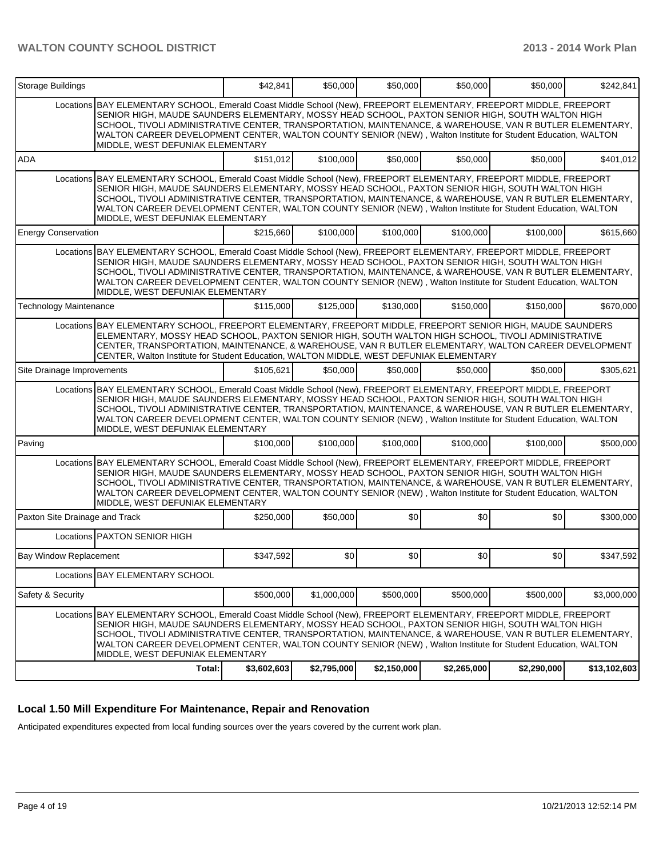| Storage Buildings              |                                                                                                                                                                                                                                                                                                                                                                                                                                                                                        | \$42,841    | \$50,000    | \$50,000    | \$50,000         | \$50,000    | \$242,841    |  |  |
|--------------------------------|----------------------------------------------------------------------------------------------------------------------------------------------------------------------------------------------------------------------------------------------------------------------------------------------------------------------------------------------------------------------------------------------------------------------------------------------------------------------------------------|-------------|-------------|-------------|------------------|-------------|--------------|--|--|
|                                | Locations BAY ELEMENTARY SCHOOL, Emerald Coast Middle School (New), FREEPORT ELEMENTARY, FREEPORT MIDDLE, FREEPORT<br>SENIOR HIGH, MAUDE SAUNDERS ELEMENTARY, MOSSY HEAD SCHOOL, PAXTON SENIOR HIGH, SOUTH WALTON HIGH<br>SCHOOL, TIVOLI ADMINISTRATIVE CENTER, TRANSPORTATION, MAINTENANCE, & WAREHOUSE, VAN R BUTLER ELEMENTARY,<br>WALTON CAREER DEVELOPMENT CENTER, WALTON COUNTY SENIOR (NEW), Walton Institute for Student Education, WALTON<br>MIDDLE, WEST DEFUNIAK ELEMENTARY |             |             |             |                  |             |              |  |  |
| ADA                            |                                                                                                                                                                                                                                                                                                                                                                                                                                                                                        | \$151,012   | \$100,000   | \$50,000    | \$50,000         | \$50,000    | \$401,012    |  |  |
|                                | Locations BAY ELEMENTARY SCHOOL, Emerald Coast Middle School (New), FREEPORT ELEMENTARY, FREEPORT MIDDLE, FREEPORT<br>SENIOR HIGH, MAUDE SAUNDERS ELEMENTARY, MOSSY HEAD SCHOOL, PAXTON SENIOR HIGH, SOUTH WALTON HIGH<br>SCHOOL, TIVOLI ADMINISTRATIVE CENTER, TRANSPORTATION, MAINTENANCE, & WAREHOUSE, VAN R BUTLER ELEMENTARY,<br>WALTON CAREER DEVELOPMENT CENTER, WALTON COUNTY SENIOR (NEW), Walton Institute for Student Education, WALTON<br>MIDDLE, WEST DEFUNIAK ELEMENTARY |             |             |             |                  |             |              |  |  |
| <b>Energy Conservation</b>     |                                                                                                                                                                                                                                                                                                                                                                                                                                                                                        | \$215,660   | \$100,000   | \$100,000   | \$100,000        | \$100,000   | \$615,660    |  |  |
|                                | Locations BAY ELEMENTARY SCHOOL, Emerald Coast Middle School (New), FREEPORT ELEMENTARY, FREEPORT MIDDLE, FREEPORT<br>SENIOR HIGH, MAUDE SAUNDERS ELEMENTARY, MOSSY HEAD SCHOOL, PAXTON SENIOR HIGH, SOUTH WALTON HIGH<br>SCHOOL, TIVOLI ADMINISTRATIVE CENTER, TRANSPORTATION, MAINTENANCE, & WAREHOUSE, VAN R BUTLER ELEMENTARY,<br>WALTON CAREER DEVELOPMENT CENTER, WALTON COUNTY SENIOR (NEW), Walton Institute for Student Education, WALTON<br>MIDDLE, WEST DEFUNIAK ELEMENTARY |             |             |             |                  |             |              |  |  |
| <b>Technology Maintenance</b>  |                                                                                                                                                                                                                                                                                                                                                                                                                                                                                        | \$115,000   | \$125,000   | \$130,000   | \$150,000        | \$150,000   | \$670,000    |  |  |
|                                | Locations BAY ELEMENTARY SCHOOL, FREEPORT ELEMENTARY, FREEPORT MIDDLE, FREEPORT SENIOR HIGH, MAUDE SAUNDERS<br>ELEMENTARY, MOSSY HEAD SCHOOL, PAXTON SENIOR HIGH, SOUTH WALTON HIGH SCHOOL, TIVOLI ADMINISTRATIVE<br>CENTER, TRANSPORTATION, MAINTENANCE, & WAREHOUSE, VAN R BUTLER ELEMENTARY, WALTON CAREER DEVELOPMENT<br>CENTER, Walton Institute for Student Education, WALTON MIDDLE, WEST DEFUNIAK ELEMENTARY                                                                   |             |             |             |                  |             |              |  |  |
| Site Drainage Improvements     |                                                                                                                                                                                                                                                                                                                                                                                                                                                                                        | \$105,621   | \$50,000    | \$50,000    | \$50,000         | \$50,000    | \$305,621    |  |  |
|                                | Locations BAY ELEMENTARY SCHOOL, Emerald Coast Middle School (New), FREEPORT ELEMENTARY, FREEPORT MIDDLE, FREEPORT<br>SENIOR HIGH, MAUDE SAUNDERS ELEMENTARY, MOSSY HEAD SCHOOL, PAXTON SENIOR HIGH, SOUTH WALTON HIGH<br>SCHOOL, TIVOLI ADMINISTRATIVE CENTER, TRANSPORTATION, MAINTENANCE, & WAREHOUSE, VAN R BUTLER ELEMENTARY,<br>WALTON CAREER DEVELOPMENT CENTER, WALTON COUNTY SENIOR (NEW), Walton Institute for Student Education, WALTON<br>MIDDLE, WEST DEFUNIAK ELEMENTARY |             |             |             |                  |             |              |  |  |
| Paving                         |                                                                                                                                                                                                                                                                                                                                                                                                                                                                                        | \$100,000   | \$100,000   | \$100,000   | \$100,000        | \$100,000   | \$500,000    |  |  |
|                                | Locations BAY ELEMENTARY SCHOOL, Emerald Coast Middle School (New), FREEPORT ELEMENTARY, FREEPORT MIDDLE, FREEPORT<br>SENIOR HIGH, MAUDE SAUNDERS ELEMENTARY, MOSSY HEAD SCHOOL, PAXTON SENIOR HIGH, SOUTH WALTON HIGH<br>SCHOOL, TIVOLI ADMINISTRATIVE CENTER, TRANSPORTATION, MAINTENANCE, & WAREHOUSE, VAN R BUTLER ELEMENTARY,<br>WALTON CAREER DEVELOPMENT CENTER, WALTON COUNTY SENIOR (NEW), Walton Institute for Student Education, WALTON<br>MIDDLE, WEST DEFUNIAK ELEMENTARY |             |             |             |                  |             |              |  |  |
| Paxton Site Drainage and Track |                                                                                                                                                                                                                                                                                                                                                                                                                                                                                        | \$250,000   | \$50,000    | \$0         | \$0              | \$0         | \$300,000    |  |  |
|                                | Locations PAXTON SENIOR HIGH                                                                                                                                                                                                                                                                                                                                                                                                                                                           |             |             |             |                  |             |              |  |  |
| <b>Bay Window Replacement</b>  |                                                                                                                                                                                                                                                                                                                                                                                                                                                                                        | \$347,592   | \$0]        | \$0         | \$0 <sub>1</sub> | \$0         | \$347,592    |  |  |
|                                | Locations BAY ELEMENTARY SCHOOL                                                                                                                                                                                                                                                                                                                                                                                                                                                        |             |             |             |                  |             |              |  |  |
| Safety & Security              |                                                                                                                                                                                                                                                                                                                                                                                                                                                                                        | \$500,000   | \$1,000,000 | \$500,000   | \$500,000        | \$500,000   | \$3,000,000  |  |  |
|                                | Locations BAY ELEMENTARY SCHOOL, Emerald Coast Middle School (New), FREEPORT ELEMENTARY, FREEPORT MIDDLE, FREEPORT<br>SENIOR HIGH, MAUDE SAUNDERS ELEMENTARY, MOSSY HEAD SCHOOL, PAXTON SENIOR HIGH, SOUTH WALTON HIGH<br>SCHOOL, TIVOLI ADMINISTRATIVE CENTER, TRANSPORTATION, MAINTENANCE, & WAREHOUSE, VAN R BUTLER ELEMENTARY,<br>WALTON CAREER DEVELOPMENT CENTER, WALTON COUNTY SENIOR (NEW), Walton Institute for Student Education, WALTON<br>MIDDLE, WEST DEFUNIAK ELEMENTARY |             |             |             |                  |             |              |  |  |
|                                | Total:                                                                                                                                                                                                                                                                                                                                                                                                                                                                                 | \$3,602,603 | \$2,795,000 | \$2,150,000 | \$2,265,000      | \$2,290,000 | \$13,102,603 |  |  |

## **Local 1.50 Mill Expenditure For Maintenance, Repair and Renovation**

Anticipated expenditures expected from local funding sources over the years covered by the current work plan.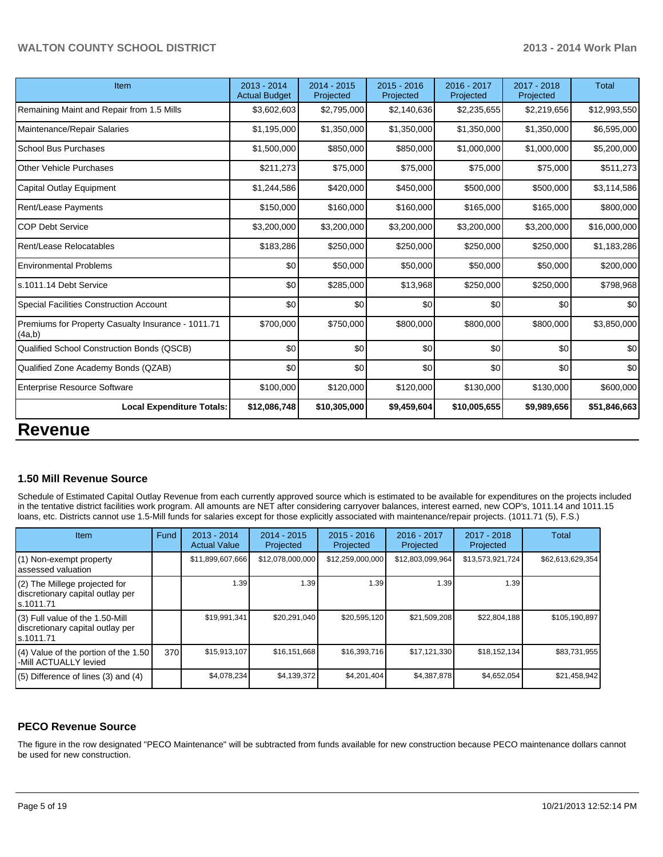## **WALTON COUNTY SCHOOL DISTRICT 2013 - 2014 Work Plan**

| Item                                                         | 2013 - 2014<br><b>Actual Budget</b> | $2014 - 2015$<br>Projected | $2015 - 2016$<br>Projected | 2016 - 2017<br>Projected | 2017 - 2018<br>Projected | <b>Total</b> |
|--------------------------------------------------------------|-------------------------------------|----------------------------|----------------------------|--------------------------|--------------------------|--------------|
| Remaining Maint and Repair from 1.5 Mills                    | \$3,602,603                         | \$2,795,000                | \$2,140,636                | \$2,235,655              | \$2,219,656              | \$12,993,550 |
| Maintenance/Repair Salaries                                  | \$1,195,000                         | \$1,350,000                | \$1,350,000                | \$1,350,000              | \$1,350,000              | \$6,595,000  |
| <b>School Bus Purchases</b>                                  | \$1,500,000                         | \$850,000                  | \$850,000                  | \$1,000,000              | \$1,000,000              | \$5,200,000  |
| <b>Other Vehicle Purchases</b>                               | \$211,273                           | \$75,000                   | \$75,000                   | \$75,000                 | \$75,000                 | \$511,273    |
| <b>Capital Outlay Equipment</b>                              | \$1,244,586                         | \$420,000                  | \$450,000                  | \$500,000                | \$500,000                | \$3,114,586  |
| <b>Rent/Lease Payments</b>                                   | \$150,000                           | \$160,000                  | \$160,000                  | \$165,000                | \$165,000                | \$800,000    |
| <b>COP Debt Service</b>                                      | \$3,200,000                         | \$3,200,000                | \$3,200,000                | \$3,200,000              | \$3,200,000              | \$16,000,000 |
| Rent/Lease Relocatables                                      | \$183,286                           | \$250,000                  | \$250,000                  | \$250,000                | \$250,000                | \$1,183,286  |
| <b>Environmental Problems</b>                                | \$0                                 | \$50,000                   | \$50,000                   | \$50,000                 | \$50,000                 | \$200,000    |
| s.1011.14 Debt Service                                       | \$0                                 | \$285,000                  | \$13,968                   | \$250,000                | \$250,000                | \$798,968    |
| <b>Special Facilities Construction Account</b>               | \$0                                 | \$0                        | \$0                        | \$0                      | \$0                      | \$0          |
| Premiums for Property Casualty Insurance - 1011.71<br>(4a,b) | \$700,000                           | \$750,000                  | \$800,000                  | \$800,000                | \$800,000                | \$3,850,000  |
| Qualified School Construction Bonds (QSCB)                   | \$0                                 | \$0                        | \$0                        | \$0                      | \$0                      | \$0          |
| Qualified Zone Academy Bonds (QZAB)                          | \$0                                 | \$0                        | \$0                        | \$0                      | \$0                      | \$0          |
| <b>Enterprise Resource Software</b>                          | \$100,000                           | \$120,000                  | \$120,000                  | \$130,000                | \$130,000                | \$600,000    |
| <b>Local Expenditure Totals:</b>                             | \$12,086,748                        | \$10,305,000               | \$9,459,604                | \$10,005,655             | \$9,989,656              | \$51,846,663 |
| DAVABUS                                                      |                                     |                            |                            |                          |                          |              |

# **Revenue**

### **1.50 Mill Revenue Source**

Schedule of Estimated Capital Outlay Revenue from each currently approved source which is estimated to be available for expenditures on the projects included in the tentative district facilities work program. All amounts are NET after considering carryover balances, interest earned, new COP's, 1011.14 and 1011.15 loans, etc. Districts cannot use 1.5-Mill funds for salaries except for those explicitly associated with maintenance/repair projects. (1011.71 (5), F.S.)

| Item                                                                                | Fund | 2013 - 2014<br><b>Actual Value</b> | 2014 - 2015<br>Projected | $2015 - 2016$<br>Projected | $2016 - 2017$<br>Projected | $2017 - 2018$<br>Projected | Total            |
|-------------------------------------------------------------------------------------|------|------------------------------------|--------------------------|----------------------------|----------------------------|----------------------------|------------------|
| (1) Non-exempt property<br>lassessed valuation                                      |      | \$11,899,607,666                   | \$12,078,000,000         | \$12,259,000,000           | \$12,803,099,964           | \$13,573,921,724           | \$62,613,629,354 |
| $(2)$ The Millege projected for<br>discretionary capital outlay per<br>ls.1011.71   |      | 1.39                               | 1.39                     | 1.39                       | 1.39                       | 1.39                       |                  |
| $(3)$ Full value of the 1.50-Mill<br>discretionary capital outlay per<br>ls.1011.71 |      | \$19,991,341                       | \$20,291,040             | \$20,595,120               | \$21,509,208               | \$22,804,188               | \$105,190,897    |
| $(4)$ Value of the portion of the 1.50<br>-Mill ACTUALLY levied                     | 370  | \$15,913,107                       | \$16,151,668             | \$16,393,716               | \$17,121,330               | \$18,152,134               | \$83,731,955     |
| $(5)$ Difference of lines $(3)$ and $(4)$                                           |      | \$4,078,234                        | \$4,139,372              | \$4,201,404                | \$4,387,878                | \$4.652.054                | \$21,458,942     |

## **PECO Revenue Source**

The figure in the row designated "PECO Maintenance" will be subtracted from funds available for new construction because PECO maintenance dollars cannot be used for new construction.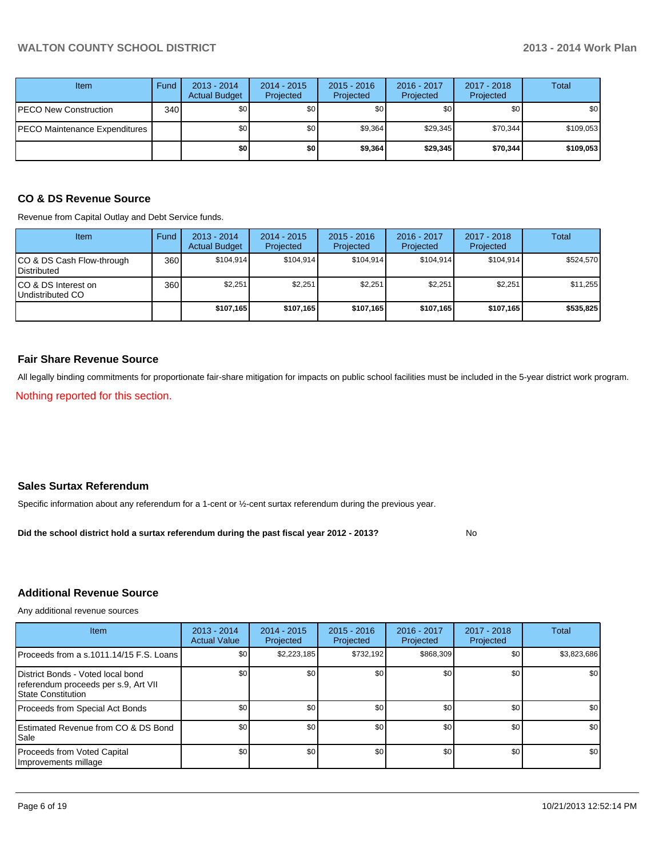| <b>Item</b>                   | Fund | $2013 - 2014$<br><b>Actual Budget</b> | $2014 - 2015$<br>Projected | $2015 - 2016$<br>Projected | 2016 - 2017<br>Projected | 2017 - 2018<br>Projected | Total     |
|-------------------------------|------|---------------------------------------|----------------------------|----------------------------|--------------------------|--------------------------|-----------|
| PECO New Construction         | 340  | \$0 <sub>1</sub>                      | \$0                        | \$0                        | \$0                      | \$0 <sub>1</sub>         | \$0       |
| PECO Maintenance Expenditures |      | \$0 <sub>1</sub>                      | \$0                        | \$9,364                    | \$29,345                 | \$70,344                 | \$109,053 |
|                               |      | \$0                                   | \$0                        | \$9,364                    | \$29,345                 | \$70,344                 | \$109,053 |

# **CO & DS Revenue Source**

Revenue from Capital Outlay and Debt Service funds.

| <b>Item</b>                                      | Fund | $2013 - 2014$<br><b>Actual Budget</b> | $2014 - 2015$<br>Projected | $2015 - 2016$<br>Projected | $2016 - 2017$<br>Projected | $2017 - 2018$<br>Projected | Total     |
|--------------------------------------------------|------|---------------------------------------|----------------------------|----------------------------|----------------------------|----------------------------|-----------|
| ICO & DS Cash Flow-through<br><b>Distributed</b> | 360  | \$104.914                             | \$104.914                  | \$104.914                  | \$104.914                  | \$104.914                  | \$524,570 |
| ICO & DS Interest on<br>Undistributed CO         | 360  | \$2,251                               | \$2,251                    | \$2,251                    | \$2.251                    | \$2.251                    | \$11,255  |
|                                                  |      | \$107,165                             | \$107.165                  | \$107.165                  | \$107.165                  | \$107,165                  | \$535,825 |

### **Fair Share Revenue Source**

All legally binding commitments for proportionate fair-share mitigation for impacts on public school facilities must be included in the 5-year district work program.

Nothing reported for this section.

#### **Sales Surtax Referendum**

Specific information about any referendum for a 1-cent or ½-cent surtax referendum during the previous year.

No **Did the school district hold a surtax referendum during the past fiscal year 2012 - 2013?**

## **Additional Revenue Source**

Any additional revenue sources

| <b>Item</b>                                                                                            | $2013 - 2014$<br><b>Actual Value</b> | $2014 - 2015$<br>Projected | $2015 - 2016$<br>Projected | $2016 - 2017$<br>Projected | $2017 - 2018$<br>Projected | Total       |
|--------------------------------------------------------------------------------------------------------|--------------------------------------|----------------------------|----------------------------|----------------------------|----------------------------|-------------|
| Proceeds from a s.1011.14/15 F.S. Loans                                                                | \$0                                  | \$2,223,185                | \$732.192                  | \$868,309                  | \$0                        | \$3,823,686 |
| District Bonds - Voted local bond<br>referendum proceeds per s.9, Art VII<br><b>State Constitution</b> | \$0 <sub>1</sub>                     | \$0                        | \$0                        | \$0                        | \$0                        | \$0         |
| Proceeds from Special Act Bonds                                                                        | \$0                                  | \$0 <sub>1</sub>           | \$0                        | \$0                        | \$0                        | \$0         |
| <b>IEstimated Revenue from CO &amp; DS Bond</b><br><b>I</b> Sale                                       | \$0                                  | \$0                        | \$0                        | \$0                        | \$0                        | \$0         |
| Proceeds from Voted Capital<br>Improvements millage                                                    | \$0 <sub>1</sub>                     | \$0                        | \$0                        | \$0                        | \$0                        | \$0         |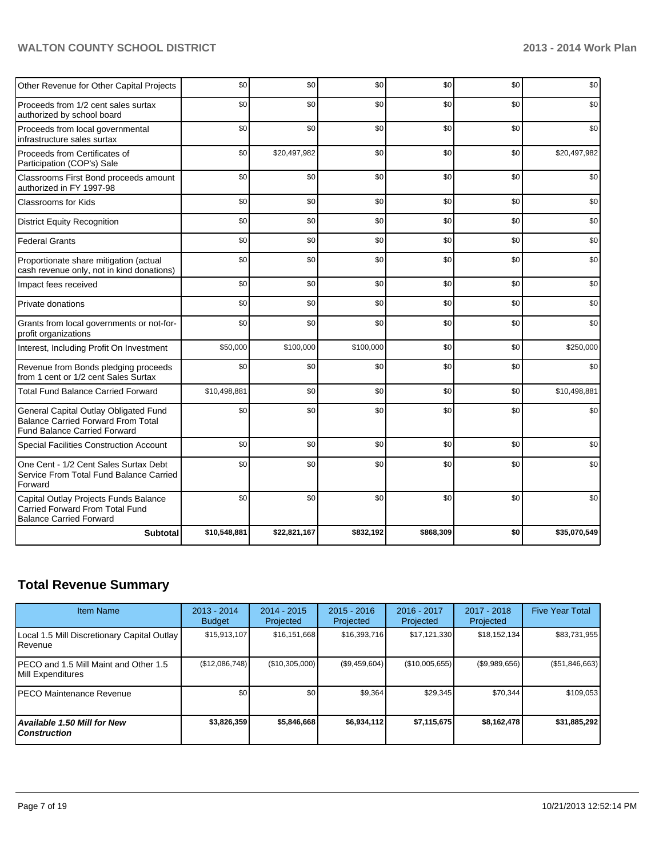# **WALTON COUNTY SCHOOL DISTRICT 2013 - 2014 Work Plan**

| Other Revenue for Other Capital Projects                                                                                  | \$0          | \$0          | \$0       | \$0       | \$0 | \$0          |
|---------------------------------------------------------------------------------------------------------------------------|--------------|--------------|-----------|-----------|-----|--------------|
| Proceeds from 1/2 cent sales surtax<br>authorized by school board                                                         | \$0          | \$0          | \$0       | \$0       | \$0 | \$0          |
| Proceeds from local governmental<br>infrastructure sales surtax                                                           | \$0          | \$0          | \$0       | \$0       | \$0 | \$0          |
| Proceeds from Certificates of<br>Participation (COP's) Sale                                                               | \$0          | \$20,497,982 | \$0       | \$0       | \$0 | \$20,497,982 |
| Classrooms First Bond proceeds amount<br>authorized in FY 1997-98                                                         | \$0          | \$0          | \$0       | \$0       | \$0 | \$0          |
| <b>Classrooms for Kids</b>                                                                                                | \$0          | \$0          | \$0       | \$0       | \$0 | \$0          |
| <b>District Equity Recognition</b>                                                                                        | \$0          | \$0          | \$0       | \$0       | \$0 | \$0          |
| <b>Federal Grants</b>                                                                                                     | \$0          | \$0          | \$0       | \$0       | \$0 | \$0          |
| Proportionate share mitigation (actual<br>cash revenue only, not in kind donations)                                       | \$0          | \$0          | \$0       | \$0       | \$0 | \$0          |
| Impact fees received                                                                                                      | \$0          | \$0          | \$0       | \$0       | \$0 | \$0          |
| Private donations                                                                                                         | \$0          | \$0          | \$0       | \$0       | \$0 | \$0          |
| Grants from local governments or not-for-<br>profit organizations                                                         | \$0          | \$0          | \$0       | \$0       | \$0 | \$0          |
| Interest, Including Profit On Investment                                                                                  | \$50,000     | \$100,000    | \$100,000 | \$0       | \$0 | \$250,000    |
| Revenue from Bonds pledging proceeds<br>from 1 cent or 1/2 cent Sales Surtax                                              | \$0          | \$0          | \$0       | \$0       | \$0 | \$0          |
| <b>Total Fund Balance Carried Forward</b>                                                                                 | \$10,498,881 | \$0          | \$0       | \$0       | \$0 | \$10,498,881 |
| General Capital Outlay Obligated Fund<br><b>Balance Carried Forward From Total</b><br><b>Fund Balance Carried Forward</b> | \$0          | \$0          | \$0       | \$0       | \$0 | \$0          |
| <b>Special Facilities Construction Account</b>                                                                            | \$0          | \$0          | \$0       | \$0       | \$0 | \$0          |
| One Cent - 1/2 Cent Sales Surtax Debt<br>Service From Total Fund Balance Carried<br>Forward                               | \$0          | \$0          | \$0       | \$0       | \$0 | \$0          |
| Capital Outlay Projects Funds Balance<br><b>Carried Forward From Total Fund</b><br><b>Balance Carried Forward</b>         | \$0          | \$0          | \$0       | \$0       | \$0 | \$0          |
| <b>Subtotal</b>                                                                                                           | \$10,548,881 | \$22,821,167 | \$832,192 | \$868,309 | \$0 | \$35,070,549 |

# **Total Revenue Summary**

| <b>Item Name</b>                                                | 2013 - 2014<br><b>Budget</b> | 2014 - 2015<br>Projected | $2015 - 2016$<br>Projected | $2016 - 2017$<br>Projected | $2017 - 2018$<br>Projected | <b>Five Year Total</b> |
|-----------------------------------------------------------------|------------------------------|--------------------------|----------------------------|----------------------------|----------------------------|------------------------|
| Local 1.5 Mill Discretionary Capital Outlay<br><b>I</b> Revenue | \$15,913,107                 | \$16, 151, 668           | \$16,393,716               | \$17,121,330               | \$18,152,134               | \$83,731,955           |
| IPECO and 1.5 Mill Maint and Other 1.5<br>Mill Expenditures     | (\$12,086,748)               | (\$10,305,000)           | (\$9,459,604)              | (\$10,005,655)             | (S9,989,656)               | (\$51,846,663)         |
| IPECO Maintenance Revenue                                       | \$0                          | \$0                      | \$9,364                    | \$29,345                   | \$70,344                   | \$109,053              |
| Available 1.50 Mill for New l<br>l Construction                 | \$3,826,359                  | \$5.846.668              | \$6.934.112                | \$7,115,675                | \$8,162,478                | \$31,885,292           |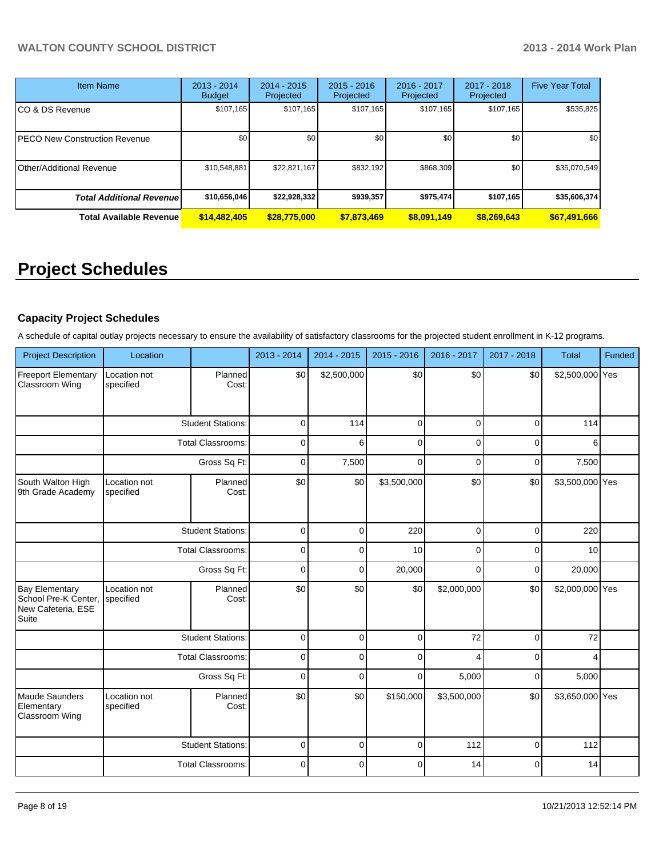| <b>Item Name</b>                 | 2013 - 2014<br><b>Budget</b> | 2014 - 2015<br>Projected | $2015 - 2016$<br>Projected | 2016 - 2017<br>Projected | 2017 - 2018<br>Projected | <b>Five Year Total</b> |
|----------------------------------|------------------------------|--------------------------|----------------------------|--------------------------|--------------------------|------------------------|
| CO & DS Revenue                  | \$107,165                    | \$107,165                | \$107,165                  | \$107,165                | \$107,165                | \$535,825              |
| PECO New Construction Revenue    | \$0                          | \$0 <sub>1</sub>         | \$0                        | \$0 <sub>1</sub>         | \$0                      | \$0                    |
| <b>Other/Additional Revenue</b>  | \$10,548,881                 | \$22,821,167             | \$832,192                  | \$868,309                | \$0 <sub>1</sub>         | \$35,070,549           |
| <b>Total Additional Revenuel</b> | \$10,656,046                 | \$22,928,332             | \$939,357                  | \$975,474                | \$107,165                | \$35,606,374           |
| <b>Total Available Revenue</b>   | \$14,482,405                 | \$28,775,000             | \$7,873,469                | \$8,091,149              | \$8,269,643              | \$67,491,666           |

# **Project Schedules**

# **Capacity Project Schedules**

A schedule of capital outlay projects necessary to ensure the availability of satisfactory classrooms for the projected student enrollment in K-12 programs.

| <b>Project Description</b>                                                   | Location                  |                          | 2013 - 2014 | 2014 - 2015 | 2015 - 2016 | 2016 - 2017 | 2017 - 2018 | <b>Total</b>    | Funded |
|------------------------------------------------------------------------------|---------------------------|--------------------------|-------------|-------------|-------------|-------------|-------------|-----------------|--------|
| <b>Freeport Elementary</b><br>Classroom Wing                                 | Location not<br>specified | Planned<br>Cost:         | \$0         | \$2,500,000 | \$0         | \$0         | \$0         | \$2,500,000 Yes |        |
|                                                                              |                           | <b>Student Stations:</b> | $\mathbf 0$ | 114         | $\mathbf 0$ | $\Omega$    | $\Omega$    | 114             |        |
|                                                                              |                           | <b>Total Classrooms:</b> | $\mathbf 0$ | 6           | $\mathbf 0$ | $\Omega$    | 0           | 6               |        |
|                                                                              |                           | Gross Sq Ft:             | 0           | 7,500       | $\mathbf 0$ | $\Omega$    | 0           | 7,500           |        |
| South Walton High<br>9th Grade Academy                                       | Location not<br>specified | Planned<br>Cost:         | \$0         | \$0         | \$3,500,000 | \$0         | \$0         | \$3,500,000 Yes |        |
|                                                                              |                           | <b>Student Stations:</b> | $\mathbf 0$ | $\Omega$    | 220         | $\Omega$    | 0           | 220             |        |
|                                                                              |                           | <b>Total Classrooms:</b> | $\mathbf 0$ | 0           | 10          | 0           | $\Omega$    | 10              |        |
|                                                                              | Gross Sq Ft:              |                          | $\mathbf 0$ | $\Omega$    | 20,000      | $\Omega$    | 0           | 20,000          |        |
| <b>Bay Elementary</b><br>School Pre-K Center,<br>New Cafeteria, ESE<br>Suite | Location not<br>specified | Planned<br>Cost:         | \$0         | \$0         | \$0         | \$2,000,000 | \$0         | \$2,000,000 Yes |        |
|                                                                              |                           | <b>Student Stations:</b> | $\mathbf 0$ | $\Omega$    | $\mathbf 0$ | 72          | 0           | 72              |        |
|                                                                              |                           | <b>Total Classrooms:</b> | 0           | $\Omega$    | $\mathbf 0$ |             | 0           |                 |        |
|                                                                              |                           | Gross Sq Ft:             | $\mathbf 0$ | $\Omega$    | $\Omega$    | 5,000       | 0           | 5,000           |        |
| Maude Saunders<br>Elementary<br>Classroom Wing                               | Location not<br>specified | Planned<br>Cost:         | \$0         | \$0         | \$150,000   | \$3,500,000 | \$0         | \$3,650,000 Yes |        |
|                                                                              |                           | <b>Student Stations:</b> | $\mathbf 0$ | $\Omega$    | $\mathbf 0$ | 112         | 0           | 112             |        |
|                                                                              |                           | <b>Total Classrooms:</b> | $\mathbf 0$ | $\Omega$    | $\mathbf 0$ | 14          | $\Omega$    | 14              |        |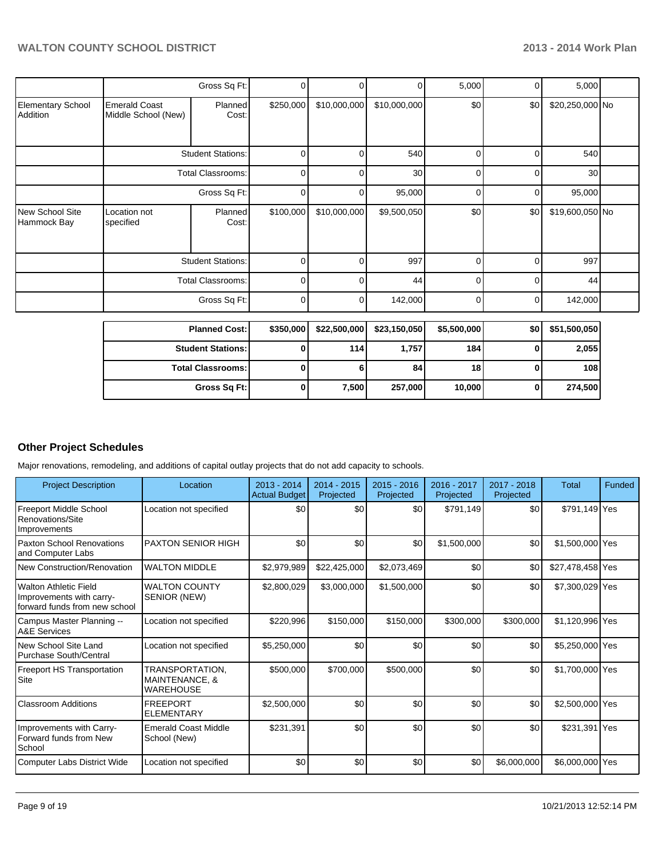|                                      |                                             | Gross Sq Ft:             | 0         |              | $\overline{0}$  | 5,000          | 0        | 5,000           |  |
|--------------------------------------|---------------------------------------------|--------------------------|-----------|--------------|-----------------|----------------|----------|-----------------|--|
| <b>Elementary School</b><br>Addition | <b>Emerald Coast</b><br>Middle School (New) | <b>Planned</b><br>Cost:  | \$250,000 | \$10,000,000 | \$10,000,000    | \$0            | \$0      | \$20,250,000 No |  |
|                                      |                                             | <b>Student Stations:</b> | $\Omega$  | U            | 540             | $\Omega$       | $\Omega$ | 540             |  |
|                                      |                                             | Total Classrooms:        | 0         | n            | 30 <sup>1</sup> | $\Omega$       | ∩        | 30              |  |
|                                      |                                             | Gross Sq Ft:             | 0         |              | 95,000          | 0              | $\Omega$ | 95,000          |  |
| New School Site<br>Hammock Bay       | Location not<br>specified                   | Planned<br>Cost:         | \$100,000 | \$10,000,000 | \$9,500,050     | \$0            | \$0      | \$19,600,050 No |  |
|                                      |                                             | <b>Student Stations:</b> | 0         |              | 997             | 0              | O        | 997             |  |
|                                      |                                             | <b>Total Classrooms:</b> | 0         | 0            | 44              | $\overline{0}$ | $\Omega$ | 44              |  |
|                                      |                                             | Gross Sq Ft:             | 0         | 0            | 142,000         | $\Omega$       | 0        | 142,000         |  |

| <b>Planned Cost:</b>     | \$350,000 | \$22,500,000 | \$23,150,050 | \$5,500,000 | \$0 | \$51,500,050 |
|--------------------------|-----------|--------------|--------------|-------------|-----|--------------|
| <b>Student Stations:</b> |           | 114          | 1,757        | 184         |     | 2,055        |
| <b>Total Classrooms:</b> |           |              | 84           | 18          |     | 108          |
| Gross Sq Ft:             |           | 7,500        | 257,000      | 10,000      |     | 274,500      |

# **Other Project Schedules**

Major renovations, remodeling, and additions of capital outlay projects that do not add capacity to schools.

| <b>Project Description</b>                                                          | Location                                              | $2013 - 2014$<br>Actual Budget | $2014 - 2015$<br>Projected | $2015 - 2016$<br>Projected | 2016 - 2017<br>Projected | $2017 - 2018$<br>Projected | Total            | Funded |
|-------------------------------------------------------------------------------------|-------------------------------------------------------|--------------------------------|----------------------------|----------------------------|--------------------------|----------------------------|------------------|--------|
| Freeport Middle School<br>Renovations/Site<br>Improvements                          | Location not specified                                | \$0                            | \$0                        | \$0                        | \$791,149                | \$0                        | \$791,149 Yes    |        |
| Paxton School Renovations<br>and Computer Labs                                      | <b>PAXTON SENIOR HIGH</b>                             | \$0                            | \$0                        | \$0                        | \$1,500,000              | \$0                        | \$1,500,000 Yes  |        |
| New Construction/Renovation                                                         | <b>WALTON MIDDLE</b>                                  | \$2,979,989                    | \$22,425,000               | \$2,073,469                | \$0                      | \$0                        | \$27,478,458 Yes |        |
| IWalton Athletic Field<br>Improvements with carry-<br>forward funds from new school | <b>WALTON COUNTY</b><br>SENIOR (NEW)                  | \$2,800,029                    | \$3,000,000                | \$1,500,000                | \$0                      | \$0                        | \$7,300,029 Yes  |        |
| Campus Master Planning --<br><b>A&amp;E Services</b>                                | Location not specified                                | \$220,996                      | \$150,000                  | \$150,000                  | \$300,000                | \$300,000                  | \$1,120,996 Yes  |        |
| New School Site Land<br>Purchase South/Central                                      | Location not specified                                | \$5,250,000                    | \$0                        | \$0                        | \$0                      | \$0                        | \$5,250,000 Yes  |        |
| <b>Freeport HS Transportation</b><br>Site                                           | TRANSPORTATION,<br>MAINTENANCE, &<br><b>WAREHOUSE</b> | \$500,000                      | \$700,000                  | \$500,000                  | \$0                      | \$0                        | \$1,700,000 Yes  |        |
| <b>Classroom Additions</b>                                                          | <b>FREEPORT</b><br><b>ELEMENTARY</b>                  | \$2,500,000                    | \$0                        | \$0                        | \$0                      | \$0                        | \$2,500,000 Yes  |        |
| Improvements with Carry-<br>Forward funds from New<br>School                        | <b>Emerald Coast Middle</b><br>School (New)           | \$231,391                      | \$0                        | \$0                        | \$0                      | \$0                        | \$231,391 Yes    |        |
| Computer Labs District Wide                                                         | Location not specified                                | \$0                            | \$0                        | \$0                        | \$0                      | \$6,000,000                | \$6,000,000 Yes  |        |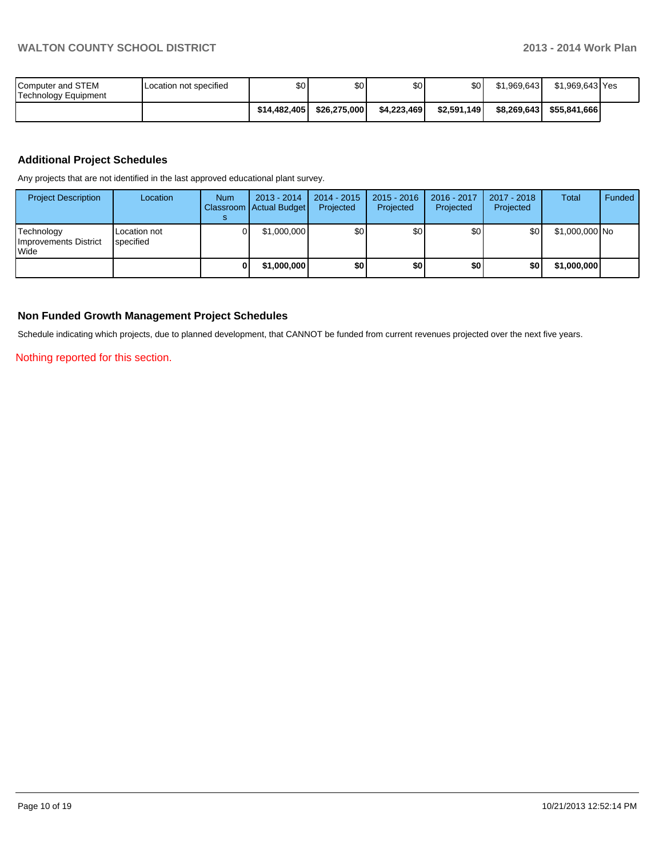| Computer and STEM<br>Technology Equipment | Location not specified | \$0          | \$0          | \$0         | ا 30        | \$1.969.643 | \$1.969.643 Yes            |  |
|-------------------------------------------|------------------------|--------------|--------------|-------------|-------------|-------------|----------------------------|--|
|                                           |                        | \$14.482.405 | \$26.275.000 | \$4.223.469 | \$2.591.149 |             | \$8,269,643   \$55,841,666 |  |

## **Additional Project Schedules**

Any projects that are not identified in the last approved educational plant survey.

| <b>Project Description</b>                           | Location                  | <b>Num</b> | $2013 - 2014$<br>Classroom   Actual Budget | $2014 - 2015$<br>Projected | $2015 - 2016$<br>Projected | 2016 - 2017<br>Projected | 2017 - 2018<br>Projected | <b>Total</b>   | Funded |
|------------------------------------------------------|---------------------------|------------|--------------------------------------------|----------------------------|----------------------------|--------------------------|--------------------------|----------------|--------|
| Technology<br>Improvements District<br><b>I</b> Wide | Location not<br>specified |            | \$1,000,000                                | \$0l                       | \$0                        | \$0                      | \$0                      | \$1,000,000 No |        |
|                                                      |                           |            | \$1,000,000                                | \$O                        | \$0                        | \$0                      | \$0                      | \$1,000,000    |        |

### **Non Funded Growth Management Project Schedules**

Schedule indicating which projects, due to planned development, that CANNOT be funded from current revenues projected over the next five years.

Nothing reported for this section.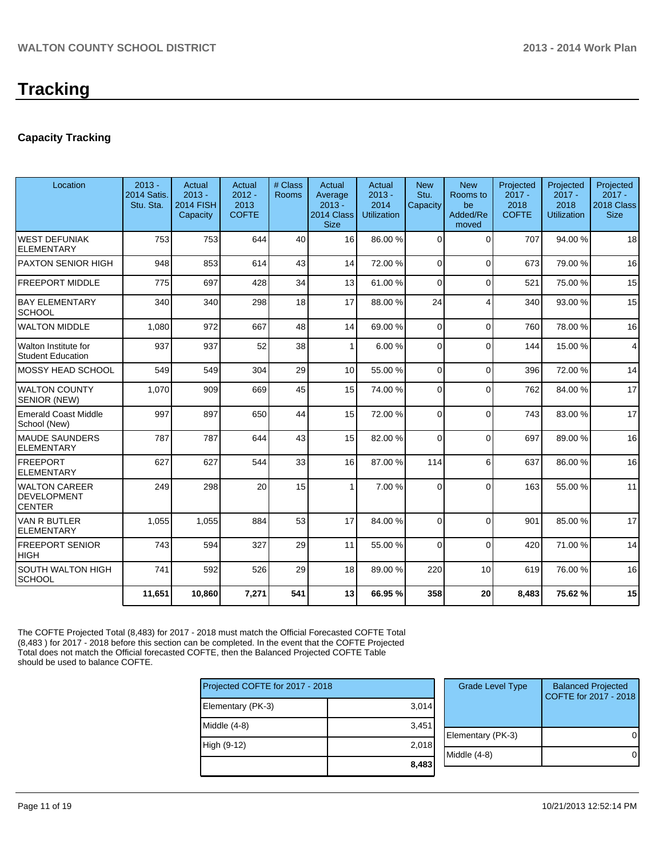# **Capacity Tracking**

| Location                                                    | $2013 -$<br><b>2014 Satis.</b><br>Stu. Sta. | Actual<br>$2013 -$<br><b>2014 FISH</b><br>Capacity | Actual<br>$2012 -$<br>2013<br><b>COFTE</b> | # Class<br><b>Rooms</b> | Actual<br>Average<br>$2013 -$<br>2014 Class<br><b>Size</b> | Actual<br>$2013 -$<br>2014<br><b>Utilization</b> | <b>New</b><br>Stu.<br>Capacity | <b>New</b><br>Rooms to<br>be<br>Added/Re<br>moved | Projected<br>$2017 -$<br>2018<br><b>COFTE</b> | Projected<br>$2017 -$<br>2018<br>Utilization | Projected<br>$2017 -$<br>2018 Class<br><b>Size</b> |
|-------------------------------------------------------------|---------------------------------------------|----------------------------------------------------|--------------------------------------------|-------------------------|------------------------------------------------------------|--------------------------------------------------|--------------------------------|---------------------------------------------------|-----------------------------------------------|----------------------------------------------|----------------------------------------------------|
| <b>WEST DEFUNIAK</b><br><b>ELEMENTARY</b>                   | 753                                         | 753                                                | 644                                        | 40                      | 16                                                         | 86.00 %                                          | $\Omega$                       | $\Omega$                                          | 707                                           | 94.00%                                       | 18                                                 |
| <b>PAXTON SENIOR HIGH</b>                                   | 948                                         | 853                                                | 614                                        | 43                      | 14                                                         | 72.00 %                                          | $\Omega$                       | $\Omega$                                          | 673                                           | 79.00 %                                      | 16                                                 |
| <b>FREEPORT MIDDLE</b>                                      | 775                                         | 697                                                | 428                                        | 34                      | 13                                                         | 61.00 %                                          | $\overline{0}$                 | $\Omega$                                          | 521                                           | 75.00 %                                      | 15                                                 |
| <b>BAY ELEMENTARY</b><br>SCHOOL                             | 340                                         | 340                                                | 298                                        | 18                      | 17                                                         | 88.00 %                                          | 24                             | 4                                                 | 340                                           | 93.00 %                                      | 15                                                 |
| <b>WALTON MIDDLE</b>                                        | 1,080                                       | 972                                                | 667                                        | 48                      | 14                                                         | 69.00 %                                          | $\Omega$                       | $\Omega$                                          | 760                                           | 78.00%                                       | 16                                                 |
| Walton Institute for<br><b>Student Education</b>            | 937                                         | 937                                                | 52                                         | 38                      | $\mathbf{1}$                                               | 6.00%                                            | $\Omega$                       | $\Omega$                                          | 144                                           | 15.00 %                                      | 4                                                  |
| <b>MOSSY HEAD SCHOOL</b>                                    | 549                                         | 549                                                | 304                                        | 29                      | 10 <sup>1</sup>                                            | 55.00 %                                          | $\Omega$                       | $\Omega$                                          | 396                                           | 72.00 %                                      | 14                                                 |
| <b>WALTON COUNTY</b><br>SENIOR (NEW)                        | 1,070                                       | 909                                                | 669                                        | 45                      | 15                                                         | 74.00 %                                          | $\Omega$                       | $\Omega$                                          | 762                                           | 84.00%                                       | 17                                                 |
| <b>Emerald Coast Middle</b><br>School (New)                 | 997                                         | 897                                                | 650                                        | 44                      | 15                                                         | 72.00 %                                          | $\Omega$                       | $\Omega$                                          | 743                                           | 83.00 %                                      | 17                                                 |
| <b>MAUDE SAUNDERS</b><br><b>ELEMENTARY</b>                  | 787                                         | 787                                                | 644                                        | 43                      | 15                                                         | 82.00 %                                          | $\Omega$                       | $\Omega$                                          | 697                                           | 89.00 %                                      | 16                                                 |
| <b>FREEPORT</b><br><b>ELEMENTARY</b>                        | 627                                         | 627                                                | 544                                        | 33                      | 16                                                         | 87.00 %                                          | 114                            | 6                                                 | 637                                           | 86.00%                                       | 16                                                 |
| <b>WALTON CAREER</b><br><b>DEVELOPMENT</b><br><b>CENTER</b> | 249                                         | 298                                                | 20                                         | 15                      |                                                            | 7.00 %                                           | $\Omega$                       | $\Omega$                                          | 163                                           | 55.00 %                                      | 11                                                 |
| <b>VAN R BUTLER</b><br><b>ELEMENTARY</b>                    | 1,055                                       | 1,055                                              | 884                                        | 53                      | 17                                                         | 84.00 %                                          | $\Omega$                       | $\Omega$                                          | 901                                           | 85.00 %                                      | 17                                                 |
| <b>FREEPORT SENIOR</b><br><b>HIGH</b>                       | 743                                         | 594                                                | 327                                        | 29                      | 11                                                         | 55.00 %                                          | $\Omega$                       | $\Omega$                                          | 420                                           | 71.00 %                                      | 14                                                 |
| <b>SOUTH WALTON HIGH</b><br><b>SCHOOL</b>                   | 741                                         | 592                                                | 526                                        | 29                      | 18                                                         | 89.00 %                                          | 220                            | 10                                                | 619                                           | 76.00 %                                      | 16                                                 |
|                                                             | 11.651                                      | 10.860                                             | 7,271                                      | 541                     | 13                                                         | 66.95 %                                          | 358                            | 20                                                | 8.483                                         | 75.62%                                       | 15                                                 |

The COFTE Projected Total (8,483) for 2017 - 2018 must match the Official Forecasted COFTE Total (8,483 ) for 2017 - 2018 before this section can be completed. In the event that the COFTE Projected Total does not match the Official forecasted COFTE, then the Balanced Projected COFTE Table should be used to balance COFTE.

| Projected COFTE for 2017 - 2018 |       | <b>Grade Level Type</b> | <b>Balanced Projected</b><br>COFTE for 2017 - 2018 |  |  |
|---------------------------------|-------|-------------------------|----------------------------------------------------|--|--|
| Elementary (PK-3)               | 3,014 |                         |                                                    |  |  |
| Middle (4-8)                    | 3,451 | Elementary (PK-3)       |                                                    |  |  |
| High (9-12)                     | 2,018 |                         |                                                    |  |  |
|                                 | 8,483 | Middle (4-8)            |                                                    |  |  |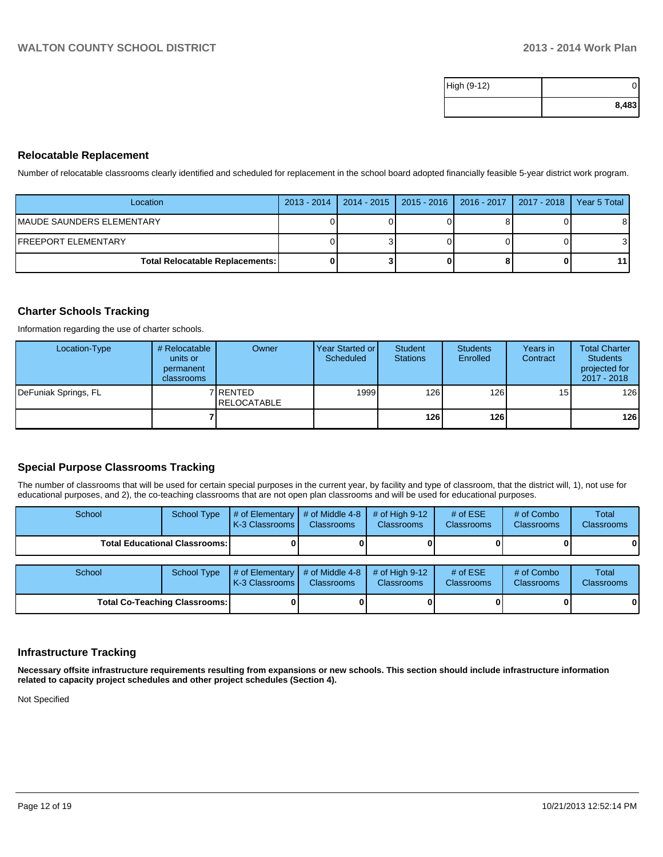| High (9-12) |       |
|-------------|-------|
|             | 8,483 |

#### **Relocatable Replacement**

Number of relocatable classrooms clearly identified and scheduled for replacement in the school board adopted financially feasible 5-year district work program.

| Location                               | 2013 - 2014   2014 - 2015   2015 - 2016   2016 - 2017   2017 - 2018 |  | Year 5 Total |
|----------------------------------------|---------------------------------------------------------------------|--|--------------|
| IMAUDE SAUNDERS ELEMENTARY             |                                                                     |  | 81           |
| IFREEPORT ELEMENTARY                   |                                                                     |  | 31           |
| <b>Total Relocatable Replacements:</b> |                                                                     |  | 11 I         |

#### **Charter Schools Tracking**

Information regarding the use of charter schools.

| Location-Type        | # Relocatable<br>units or<br>permanent<br>classrooms | Owner                            | Year Started or<br>Scheduled | <b>Student</b><br><b>Stations</b> | <b>Students</b><br>Enrolled | Years in<br>Contract | <b>Total Charter</b><br><b>Students</b><br>projected for<br>2017 - 2018 |
|----------------------|------------------------------------------------------|----------------------------------|------------------------------|-----------------------------------|-----------------------------|----------------------|-------------------------------------------------------------------------|
| DeFuniak Springs, FL |                                                      | 7 IRENTED<br><b>IRELOCATABLE</b> | 1999 <b>I</b>                | 126 I                             | 126                         | 15                   | 126                                                                     |
|                      |                                                      |                                  |                              | 126 l                             | 126                         |                      | 126                                                                     |

#### **Special Purpose Classrooms Tracking**

The number of classrooms that will be used for certain special purposes in the current year, by facility and type of classroom, that the district will, 1), not use for educational purposes, and 2), the co-teaching classrooms that are not open plan classrooms and will be used for educational purposes.

| School                               | <b>School Type</b> | # of Elementary<br>K-3 Classrooms | # of Middle 4-8<br><b>Classrooms</b> | # of High $9-12$<br><b>Classrooms</b> | # of $ESE$<br>Classrooms | # of Combo<br><b>Classrooms</b> | Total<br><b>Classrooms</b> |
|--------------------------------------|--------------------|-----------------------------------|--------------------------------------|---------------------------------------|--------------------------|---------------------------------|----------------------------|
| Total Educational Classrooms: I      |                    |                                   |                                      |                                       |                          |                                 | 01                         |
| School                               |                    |                                   | # of Middle 4-8                      | # of High $9-12$                      | # of $ESE$               | # of Combo                      | Total                      |
|                                      | <b>School Type</b> | # of Elementary<br>K-3 Classrooms | <b>Classrooms</b>                    | <b>Classrooms</b>                     | Classrooms               | <b>Classrooms</b>               | <b>Classrooms</b>          |
| <b>Total Co-Teaching Classrooms:</b> |                    |                                   |                                      |                                       |                          |                                 | 01                         |

#### **Infrastructure Tracking**

**Necessary offsite infrastructure requirements resulting from expansions or new schools. This section should include infrastructure information related to capacity project schedules and other project schedules (Section 4).**

Not Specified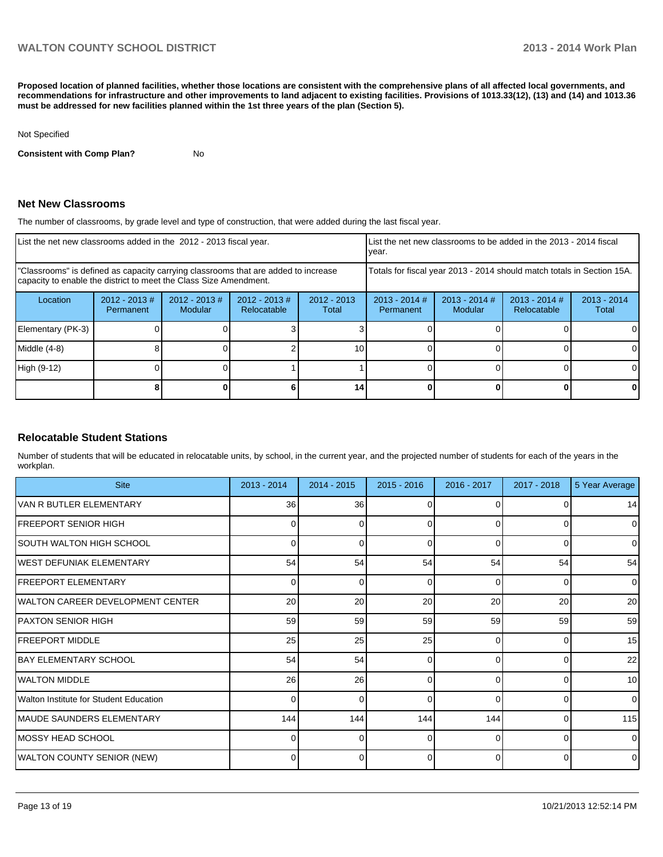**Proposed location of planned facilities, whether those locations are consistent with the comprehensive plans of all affected local governments, and recommendations for infrastructure and other improvements to land adjacent to existing facilities. Provisions of 1013.33(12), (13) and (14) and 1013.36 must be addressed for new facilities planned within the 1st three years of the plan (Section 5).**

#### Not Specified

**Consistent with Comp Plan?** No

#### **Net New Classrooms**

The number of classrooms, by grade level and type of construction, that were added during the last fiscal year.

| List the net new classrooms added in the 2012 - 2013 fiscal year.                                                                                       |                               |                            |                                 | Ivear.                                                                 |                              | List the net new classrooms to be added in the 2013 - 2014 fiscal |                                |                        |
|---------------------------------------------------------------------------------------------------------------------------------------------------------|-------------------------------|----------------------------|---------------------------------|------------------------------------------------------------------------|------------------------------|-------------------------------------------------------------------|--------------------------------|------------------------|
| "Classrooms" is defined as capacity carrying classrooms that are added to increase<br>capacity to enable the district to meet the Class Size Amendment. |                               |                            |                                 | Totals for fiscal year 2013 - 2014 should match totals in Section 15A. |                              |                                                                   |                                |                        |
| Location                                                                                                                                                | $2012 - 2013 \#$<br>Permanent | $2012 - 2013$ #<br>Modular | $2012 - 2013 \#$<br>Relocatable | $2012 - 2013$<br>Total                                                 | $2013 - 2014$ #<br>Permanent | $2013 - 2014$ #<br>Modular                                        | $2013 - 2014$ #<br>Relocatable | $2013 - 2014$<br>Total |
| Elementary (PK-3)                                                                                                                                       |                               |                            |                                 |                                                                        |                              |                                                                   |                                |                        |
| Middle (4-8)                                                                                                                                            |                               |                            |                                 | 10                                                                     |                              |                                                                   |                                | 0                      |
| High (9-12)                                                                                                                                             |                               |                            |                                 |                                                                        |                              |                                                                   |                                | $\Omega$               |
|                                                                                                                                                         |                               |                            |                                 | 14                                                                     |                              |                                                                   |                                | 0                      |

#### **Relocatable Student Stations**

Number of students that will be educated in relocatable units, by school, in the current year, and the projected number of students for each of the years in the workplan.

| <b>Site</b>                            | $2013 - 2014$ | $2014 - 2015$ | $2015 - 2016$ | 2016 - 2017 | 2017 - 2018  | 5 Year Average |
|----------------------------------------|---------------|---------------|---------------|-------------|--------------|----------------|
| VAN R BUTLER ELEMENTARY                | 36            | 36            |               |             |              | 14             |
| <b>IFREEPORT SENIOR HIGH</b>           | 0             | 0             | 0             | $\Omega$    | 0            | $\overline{0}$ |
| SOUTH WALTON HIGH SCHOOL               | O.            | U             | $\Omega$      | $\Omega$    | <sup>0</sup> | $\overline{0}$ |
| WEST DEFUNIAK ELEMENTARY               | 54            | 54            | 54            | 54          | 54           | 54             |
| <b>FREEPORT ELEMENTARY</b>             | 0             | 0             | $\Omega$      | $\Omega$    | $\Omega$     | $\Omega$       |
| WALTON CAREER DEVELOPMENT CENTER       | 20            | 20            | 20            | 20          | 20           | 20             |
| <b>PAXTON SENIOR HIGH</b>              | 59            | 59            | 59            | 59          | 59           | 59             |
| <b>IFREEPORT MIDDLE</b>                | 25            | 25            | 25            | $\Omega$    | $\Omega$     | 15             |
| <b>BAY ELEMENTARY SCHOOL</b>           | 54            | 54            | ∩             | n           | $\Omega$     | 22             |
| <b>WALTON MIDDLE</b>                   | 26            | 26            | $\Omega$      | $\Omega$    | $\Omega$     | 10             |
| Walton Institute for Student Education |               | n             | ∩             | $\Omega$    | $\Omega$     | $\Omega$       |
| MAUDE SAUNDERS ELEMENTARY              | 144           | 144           | 144           | 144         | $\Omega$     | 115            |
| MOSSY HEAD SCHOOL                      |               |               |               |             | $\Omega$     | $\overline{0}$ |
| <b>WALTON COUNTY SENIOR (NEW)</b>      |               | 0             | 0             | $\Omega$    | 0            | $\overline{0}$ |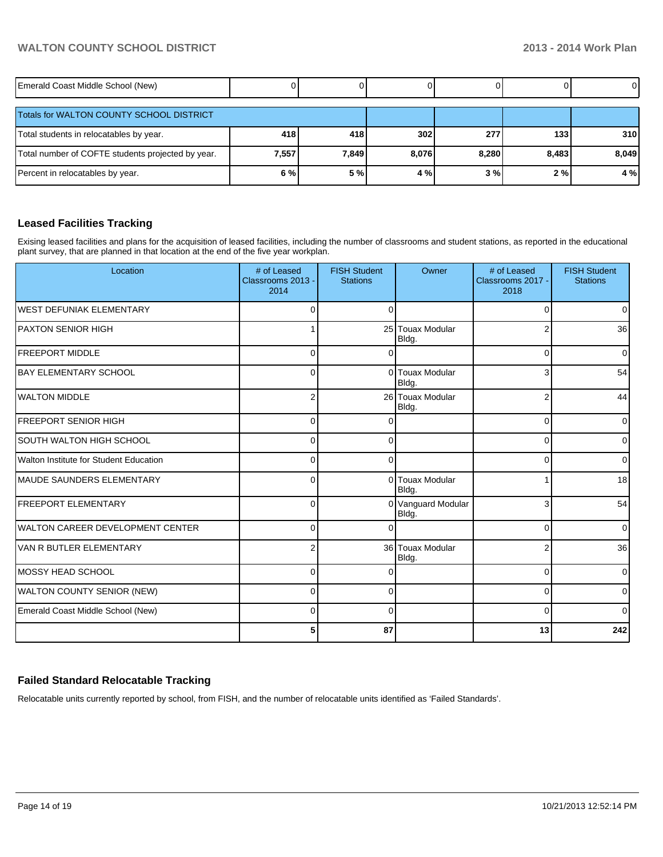# **WALTON COUNTY SCHOOL DISTRICT 2013 - 2014 Work Plan**

| Emerald Coast Middle School (New)                 |       |       |       |       |       | $\overline{0}$ |
|---------------------------------------------------|-------|-------|-------|-------|-------|----------------|
| Totals for WALTON COUNTY SCHOOL DISTRICT          |       |       |       |       |       |                |
| Total students in relocatables by year.           | 418   | 418   | 302   | 277   | 133   | <b>310</b>     |
| Total number of COFTE students projected by year. | 7,557 | 7,849 | 8,076 | 8,280 | 8,483 | 8,049          |
| Percent in relocatables by year.                  | 6%    | 5 %   | 4 %   | 3%    | 2%    | 4 %            |

### **Leased Facilities Tracking**

Exising leased facilities and plans for the acquisition of leased facilities, including the number of classrooms and student stations, as reported in the educational plant survey, that are planned in that location at the end of the five year workplan.

| Location                               | # of Leased<br>Classrooms 2013 -<br>2014 | <b>FISH Student</b><br><b>Stations</b> | Owner                       | # of Leased<br>Classrooms 2017 -<br>2018 | <b>FISH Student</b><br><b>Stations</b> |
|----------------------------------------|------------------------------------------|----------------------------------------|-----------------------------|------------------------------------------|----------------------------------------|
| IWEST DEFUNIAK ELEMENTARY              | $\Omega$                                 |                                        |                             | 0                                        | $\overline{0}$                         |
| IPAXTON SENIOR HIGH                    |                                          |                                        | 25 Touax Modular<br>Bldg.   | $\overline{2}$                           | 36                                     |
| <b>FREEPORT MIDDLE</b>                 | $\Omega$                                 | $\Omega$                               |                             | 0                                        | $\overline{0}$                         |
| BAY ELEMENTARY SCHOOL                  | $\Omega$                                 |                                        | 0 Touax Modular<br>Bldg.    | 3                                        | 54                                     |
| <b>I</b> WALTON MIDDLE                 | 2                                        |                                        | 26 Touax Modular<br>Bldg.   | $\overline{2}$                           | 44                                     |
| <b>FREEPORT SENIOR HIGH</b>            | $\Omega$                                 |                                        |                             | $\Omega$                                 | $\overline{0}$                         |
| <b>SOUTH WALTON HIGH SCHOOL</b>        | $\Omega$                                 | $\Omega$                               |                             | $\Omega$                                 | $\overline{0}$                         |
| Walton Institute for Student Education | $\Omega$                                 | $\Omega$                               |                             | $\Omega$                                 | $\overline{0}$                         |
| IMAUDE SAUNDERS ELEMENTARY             | $\Omega$                                 |                                        | 0 Touax Modular<br>Bldg.    |                                          | 18                                     |
| <b>IFREEPORT ELEMENTARY</b>            | $\Omega$                                 |                                        | 0 Vanguard Modular<br>Bldg. | 3                                        | 54                                     |
| WALTON CAREER DEVELOPMENT CENTER       | $\Omega$                                 | ∩                                      |                             | $\Omega$                                 | $\overline{0}$                         |
| VAN R BUTLER ELEMENTARY                | $\overline{2}$                           |                                        | 36 Touax Modular<br>Bldg.   | $\overline{2}$                           | 36                                     |
| IMOSSY HEAD SCHOOL                     | $\Omega$                                 |                                        |                             | 0                                        | $\overline{0}$                         |
| <b>WALTON COUNTY SENIOR (NEW)</b>      | $\Omega$                                 | $\Omega$                               |                             | 0                                        | $\overline{0}$                         |
| Emerald Coast Middle School (New)      | $\Omega$                                 | $\Omega$                               |                             | 0                                        | $\overline{0}$                         |
|                                        | 5                                        | 87                                     |                             | 13                                       | 242                                    |

#### **Failed Standard Relocatable Tracking**

Relocatable units currently reported by school, from FISH, and the number of relocatable units identified as 'Failed Standards'.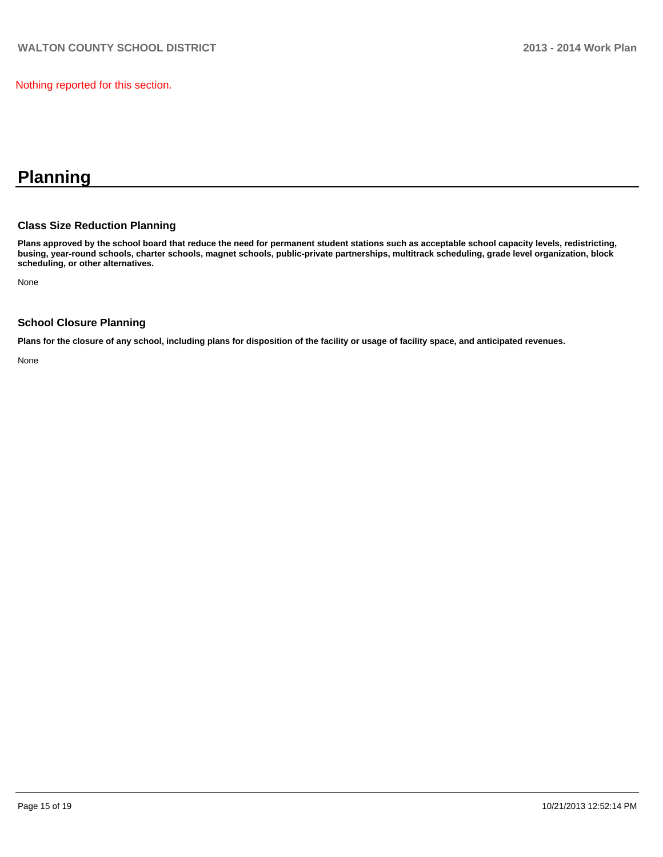Nothing reported for this section.

# **Planning**

#### **Class Size Reduction Planning**

**Plans approved by the school board that reduce the need for permanent student stations such as acceptable school capacity levels, redistricting, busing, year-round schools, charter schools, magnet schools, public-private partnerships, multitrack scheduling, grade level organization, block scheduling, or other alternatives.**

None

#### **School Closure Planning**

**Plans for the closure of any school, including plans for disposition of the facility or usage of facility space, and anticipated revenues.**

None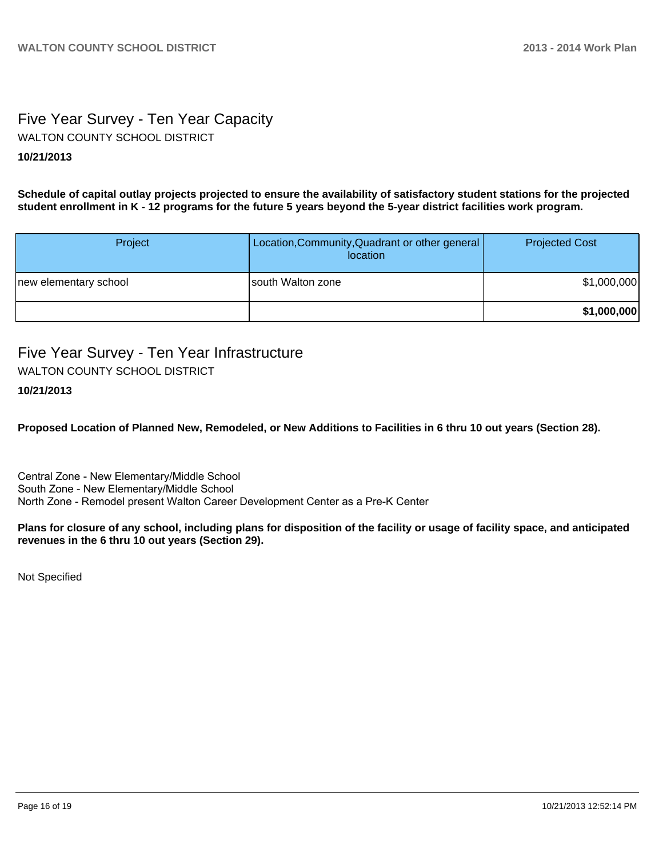# Five Year Survey - Ten Year Capacity WALTON COUNTY SCHOOL DISTRICT

### **10/21/2013**

**Schedule of capital outlay projects projected to ensure the availability of satisfactory student stations for the projected student enrollment in K - 12 programs for the future 5 years beyond the 5-year district facilities work program.**

| Project               | Location, Community, Quadrant or other general<br>location | <b>Projected Cost</b> |
|-----------------------|------------------------------------------------------------|-----------------------|
| new elementary school | Isouth Walton zone                                         | \$1,000,000           |
|                       |                                                            | \$1,000,000           |

# Five Year Survey - Ten Year Infrastructure WALTON COUNTY SCHOOL DISTRICT

## **10/21/2013**

**Proposed Location of Planned New, Remodeled, or New Additions to Facilities in 6 thru 10 out years (Section 28).**

Central Zone - New Elementary/Middle School South Zone - New Elementary/Middle School North Zone - Remodel present Walton Career Development Center as a Pre-K Center

**Plans for closure of any school, including plans for disposition of the facility or usage of facility space, and anticipated revenues in the 6 thru 10 out years (Section 29).**

Not Specified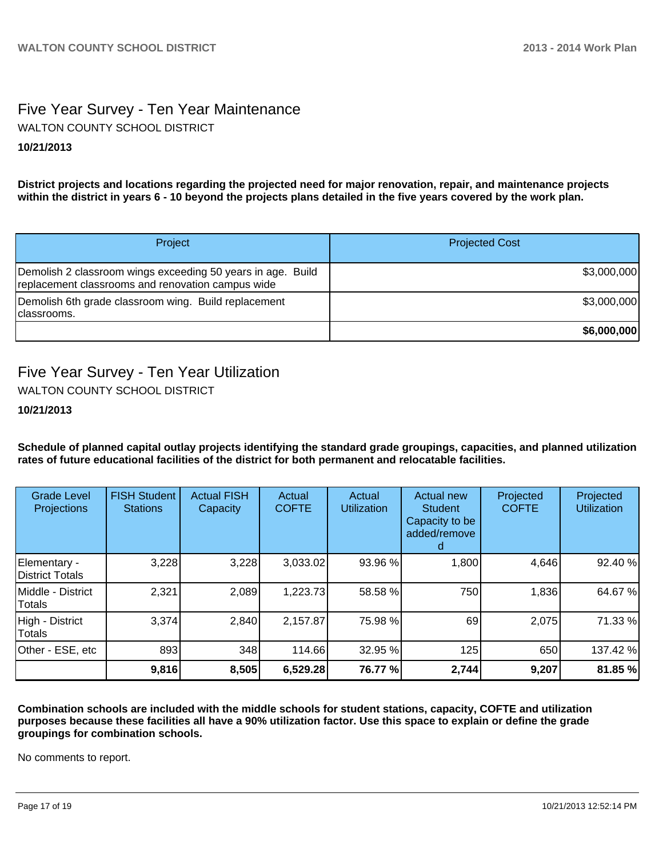# Five Year Survey - Ten Year Maintenance WALTON COUNTY SCHOOL DISTRICT

# **10/21/2013**

**District projects and locations regarding the projected need for major renovation, repair, and maintenance projects within the district in years 6 - 10 beyond the projects plans detailed in the five years covered by the work plan.**

| Project                                                                                                          | <b>Projected Cost</b> |
|------------------------------------------------------------------------------------------------------------------|-----------------------|
| Demolish 2 classroom wings exceeding 50 years in age. Build<br>replacement classrooms and renovation campus wide | \$3,000,000           |
| Demolish 6th grade classroom wing. Build replacement<br>Iclassrooms.                                             | \$3,000,000           |
|                                                                                                                  | \$6,000,000           |

# Five Year Survey - Ten Year Utilization

WALTON COUNTY SCHOOL DISTRICT

### **10/21/2013**

**Schedule of planned capital outlay projects identifying the standard grade groupings, capacities, and planned utilization rates of future educational facilities of the district for both permanent and relocatable facilities.**

| <b>Grade Level</b><br>Projections | <b>FISH Student</b><br><b>Stations</b> | <b>Actual FISH</b><br>Capacity | Actual<br><b>COFTE</b> | Actual<br><b>Utilization</b> | <b>Actual new</b><br><b>Student</b><br>Capacity to be<br>added/remove | Projected<br><b>COFTE</b> | Projected<br><b>Utilization</b> |
|-----------------------------------|----------------------------------------|--------------------------------|------------------------|------------------------------|-----------------------------------------------------------------------|---------------------------|---------------------------------|
| Elementary -<br>District Totals   | 3,228                                  | 3,228                          | 3,033.02               | 93.96 %                      | 1,800                                                                 | 4,646                     | 92.40 %                         |
| Middle - District<br>Totals       | 2,321                                  | 2,089                          | 1,223.73               | 58.58 %                      | 750                                                                   | 1,836                     | 64.67 %                         |
| High - District<br>Totals         | 3,374                                  | 2,840                          | 2,157.87               | 75.98 %                      | 69                                                                    | 2,075                     | 71.33 %                         |
| Other - ESE, etc                  | 893                                    | 348                            | 114.66                 | 32.95 %                      | 125                                                                   | 650                       | 137.42 %                        |
|                                   | 9,816                                  | 8,505                          | 6,529.28               | 76.77 %                      | 2,744                                                                 | 9,207                     | 81.85 %                         |

**Combination schools are included with the middle schools for student stations, capacity, COFTE and utilization purposes because these facilities all have a 90% utilization factor. Use this space to explain or define the grade groupings for combination schools.**

No comments to report.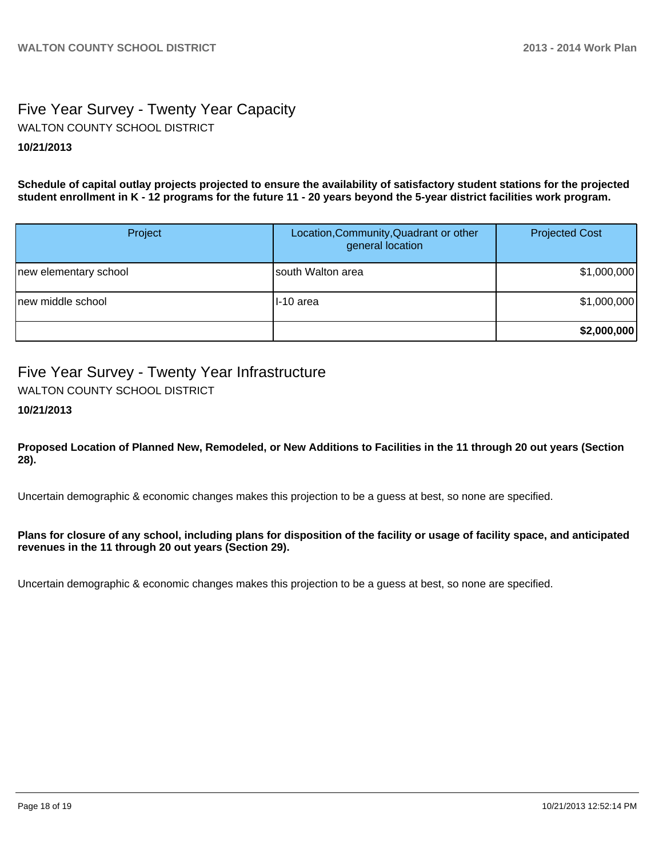# Five Year Survey - Twenty Year Capacity **10/21/2013** WALTON COUNTY SCHOOL DISTRICT

**Schedule of capital outlay projects projected to ensure the availability of satisfactory student stations for the projected student enrollment in K - 12 programs for the future 11 - 20 years beyond the 5-year district facilities work program.**

| Project               | Location, Community, Quadrant or other<br>general location | <b>Projected Cost</b> |
|-----------------------|------------------------------------------------------------|-----------------------|
| new elementary school | south Walton area                                          | \$1,000,000           |
| Inew middle school    | II-10 area                                                 | \$1,000,000           |
|                       |                                                            | \$2,000,000           |

# Five Year Survey - Twenty Year Infrastructure

WALTON COUNTY SCHOOL DISTRICT

**10/21/2013**

**Proposed Location of Planned New, Remodeled, or New Additions to Facilities in the 11 through 20 out years (Section 28).**

Uncertain demographic & economic changes makes this projection to be a guess at best, so none are specified.

**Plans for closure of any school, including plans for disposition of the facility or usage of facility space, and anticipated revenues in the 11 through 20 out years (Section 29).**

Uncertain demographic & economic changes makes this projection to be a guess at best, so none are specified.